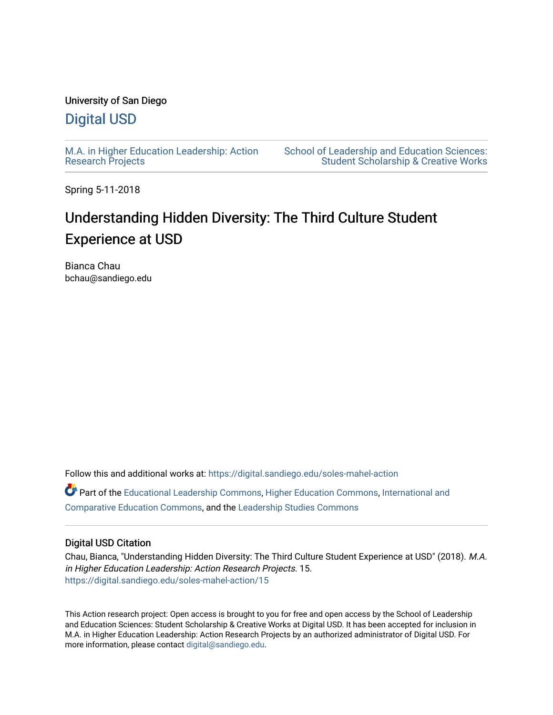# University of San Diego

# [Digital USD](https://digital.sandiego.edu/)

[M.A. in Higher Education Leadership: Action](https://digital.sandiego.edu/soles-mahel-action) [Research Projects](https://digital.sandiego.edu/soles-mahel-action) 

[School of Leadership and Education Sciences:](https://digital.sandiego.edu/soles-student)  [Student Scholarship & Creative Works](https://digital.sandiego.edu/soles-student) 

Spring 5-11-2018

# Understanding Hidden Diversity: The Third Culture Student Experience at USD

Bianca Chau bchau@sandiego.edu

Follow this and additional works at: [https://digital.sandiego.edu/soles-mahel-action](https://digital.sandiego.edu/soles-mahel-action?utm_source=digital.sandiego.edu%2Fsoles-mahel-action%2F15&utm_medium=PDF&utm_campaign=PDFCoverPages)

Part of the [Educational Leadership Commons,](http://network.bepress.com/hgg/discipline/1230?utm_source=digital.sandiego.edu%2Fsoles-mahel-action%2F15&utm_medium=PDF&utm_campaign=PDFCoverPages) [Higher Education Commons,](http://network.bepress.com/hgg/discipline/1245?utm_source=digital.sandiego.edu%2Fsoles-mahel-action%2F15&utm_medium=PDF&utm_campaign=PDFCoverPages) [International and](http://network.bepress.com/hgg/discipline/797?utm_source=digital.sandiego.edu%2Fsoles-mahel-action%2F15&utm_medium=PDF&utm_campaign=PDFCoverPages) [Comparative Education Commons,](http://network.bepress.com/hgg/discipline/797?utm_source=digital.sandiego.edu%2Fsoles-mahel-action%2F15&utm_medium=PDF&utm_campaign=PDFCoverPages) and the [Leadership Studies Commons](http://network.bepress.com/hgg/discipline/1250?utm_source=digital.sandiego.edu%2Fsoles-mahel-action%2F15&utm_medium=PDF&utm_campaign=PDFCoverPages)

# Digital USD Citation

Chau, Bianca, "Understanding Hidden Diversity: The Third Culture Student Experience at USD" (2018). M.A. in Higher Education Leadership: Action Research Projects. 15. [https://digital.sandiego.edu/soles-mahel-action/15](https://digital.sandiego.edu/soles-mahel-action/15?utm_source=digital.sandiego.edu%2Fsoles-mahel-action%2F15&utm_medium=PDF&utm_campaign=PDFCoverPages) 

This Action research project: Open access is brought to you for free and open access by the School of Leadership and Education Sciences: Student Scholarship & Creative Works at Digital USD. It has been accepted for inclusion in M.A. in Higher Education Leadership: Action Research Projects by an authorized administrator of Digital USD. For more information, please contact [digital@sandiego.edu.](mailto:digital@sandiego.edu)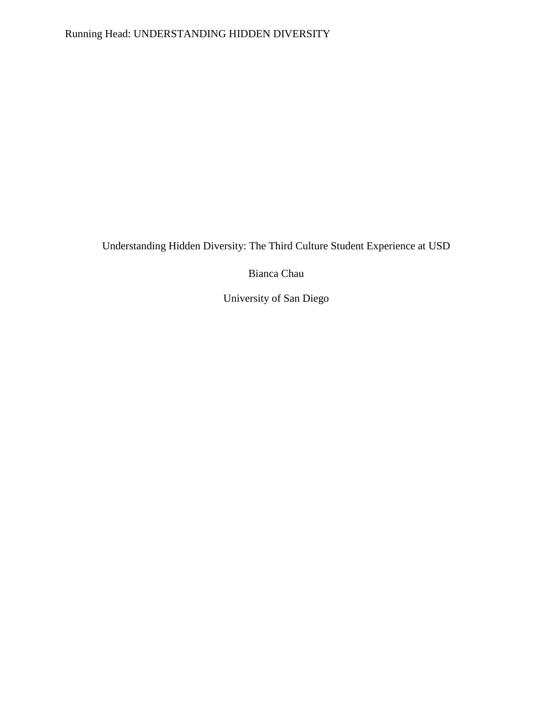# Running Head: UNDERSTANDING HIDDEN DIVERSITY

Understanding Hidden Diversity: The Third Culture Student Experience at USD

Bianca Chau

University of San Diego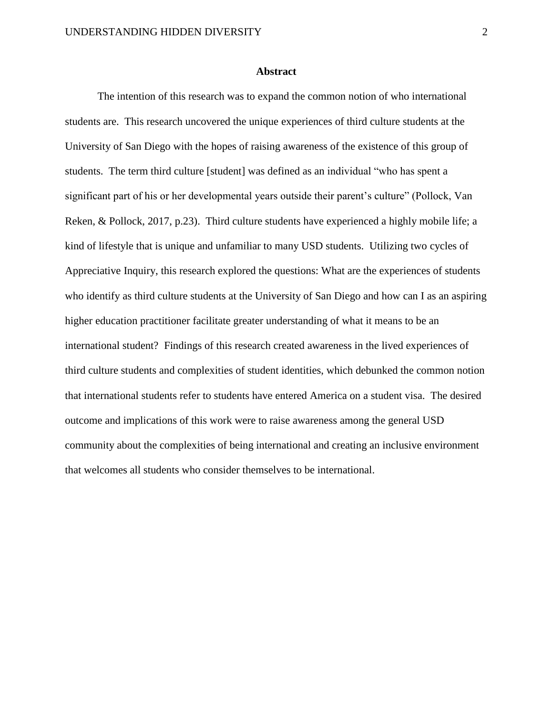#### **Abstract**

The intention of this research was to expand the common notion of who international students are. This research uncovered the unique experiences of third culture students at the University of San Diego with the hopes of raising awareness of the existence of this group of students. The term third culture [student] was defined as an individual "who has spent a significant part of his or her developmental years outside their parent's culture" (Pollock, Van Reken, & Pollock, 2017, p.23). Third culture students have experienced a highly mobile life; a kind of lifestyle that is unique and unfamiliar to many USD students. Utilizing two cycles of Appreciative Inquiry, this research explored the questions: What are the experiences of students who identify as third culture students at the University of San Diego and how can I as an aspiring higher education practitioner facilitate greater understanding of what it means to be an international student? Findings of this research created awareness in the lived experiences of third culture students and complexities of student identities, which debunked the common notion that international students refer to students have entered America on a student visa. The desired outcome and implications of this work were to raise awareness among the general USD community about the complexities of being international and creating an inclusive environment that welcomes all students who consider themselves to be international.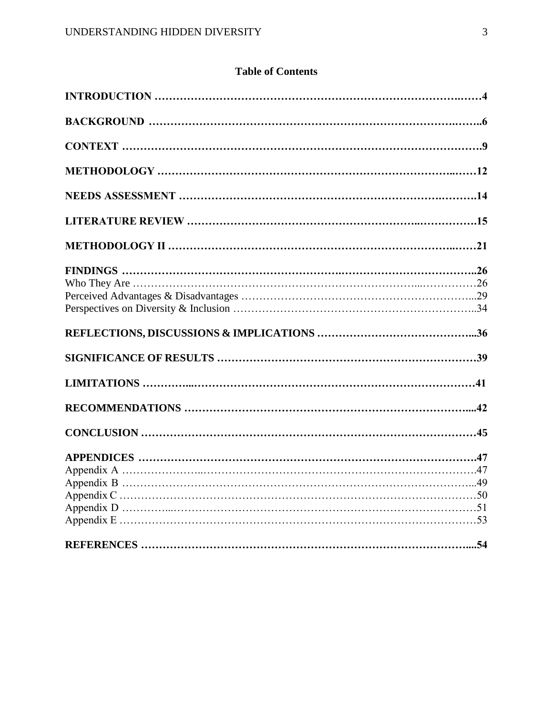# **Table of Contents**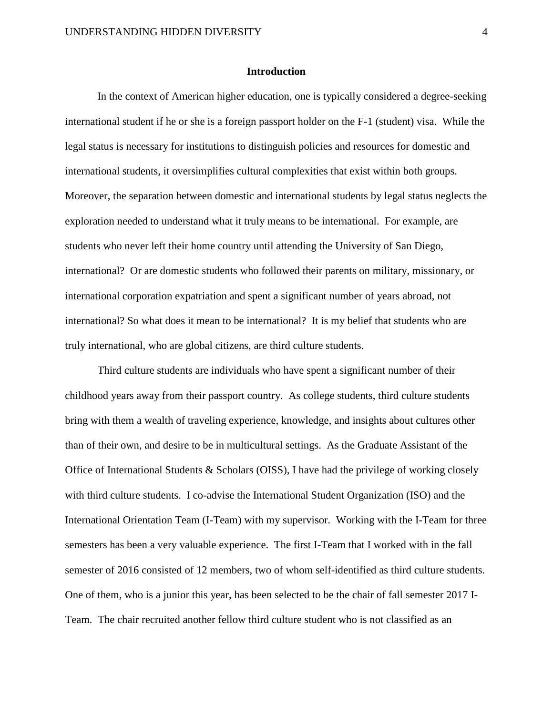### **Introduction**

In the context of American higher education, one is typically considered a degree-seeking international student if he or she is a foreign passport holder on the F-1 (student) visa. While the legal status is necessary for institutions to distinguish policies and resources for domestic and international students, it oversimplifies cultural complexities that exist within both groups. Moreover, the separation between domestic and international students by legal status neglects the exploration needed to understand what it truly means to be international. For example, are students who never left their home country until attending the University of San Diego, international? Or are domestic students who followed their parents on military, missionary, or international corporation expatriation and spent a significant number of years abroad, not international? So what does it mean to be international? It is my belief that students who are truly international, who are global citizens, are third culture students.

Third culture students are individuals who have spent a significant number of their childhood years away from their passport country. As college students, third culture students bring with them a wealth of traveling experience, knowledge, and insights about cultures other than of their own, and desire to be in multicultural settings. As the Graduate Assistant of the Office of International Students & Scholars (OISS), I have had the privilege of working closely with third culture students. I co-advise the International Student Organization (ISO) and the International Orientation Team (I-Team) with my supervisor. Working with the I-Team for three semesters has been a very valuable experience. The first I-Team that I worked with in the fall semester of 2016 consisted of 12 members, two of whom self-identified as third culture students. One of them, who is a junior this year, has been selected to be the chair of fall semester 2017 I-Team. The chair recruited another fellow third culture student who is not classified as an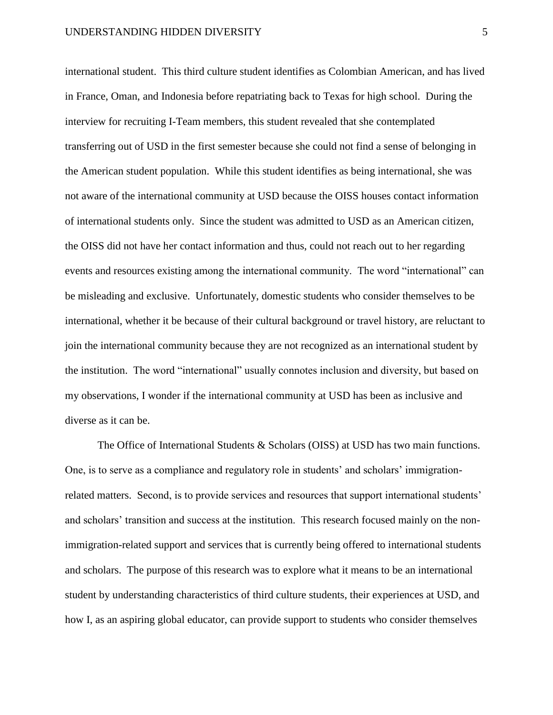international student. This third culture student identifies as Colombian American, and has lived in France, Oman, and Indonesia before repatriating back to Texas for high school. During the interview for recruiting I-Team members, this student revealed that she contemplated transferring out of USD in the first semester because she could not find a sense of belonging in the American student population. While this student identifies as being international, she was not aware of the international community at USD because the OISS houses contact information of international students only. Since the student was admitted to USD as an American citizen, the OISS did not have her contact information and thus, could not reach out to her regarding events and resources existing among the international community. The word "international" can be misleading and exclusive. Unfortunately, domestic students who consider themselves to be international, whether it be because of their cultural background or travel history, are reluctant to join the international community because they are not recognized as an international student by the institution. The word "international" usually connotes inclusion and diversity, but based on my observations, I wonder if the international community at USD has been as inclusive and diverse as it can be.

The Office of International Students & Scholars (OISS) at USD has two main functions. One, is to serve as a compliance and regulatory role in students' and scholars' immigrationrelated matters. Second, is to provide services and resources that support international students' and scholars' transition and success at the institution. This research focused mainly on the nonimmigration-related support and services that is currently being offered to international students and scholars. The purpose of this research was to explore what it means to be an international student by understanding characteristics of third culture students, their experiences at USD, and how I, as an aspiring global educator, can provide support to students who consider themselves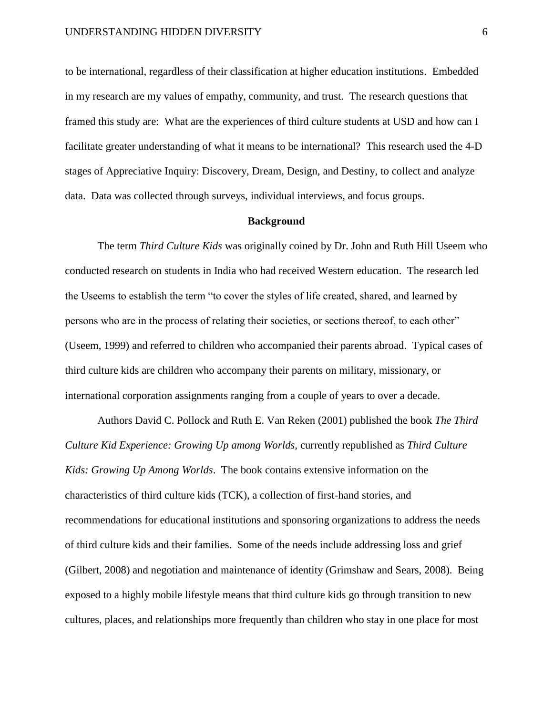to be international, regardless of their classification at higher education institutions. Embedded in my research are my values of empathy, community, and trust. The research questions that framed this study are: What are the experiences of third culture students at USD and how can I facilitate greater understanding of what it means to be international? This research used the 4-D stages of Appreciative Inquiry: Discovery, Dream, Design, and Destiny, to collect and analyze data. Data was collected through surveys, individual interviews, and focus groups.

#### **Background**

The term *Third Culture Kids* was originally coined by Dr. John and Ruth Hill Useem who conducted research on students in India who had received Western education. The research led the Useems to establish the term "to cover the styles of life created, shared, and learned by persons who are in the process of relating their societies, or sections thereof, to each other" (Useem, 1999) and referred to children who accompanied their parents abroad. Typical cases of third culture kids are children who accompany their parents on military, missionary, or international corporation assignments ranging from a couple of years to over a decade.

Authors David C. Pollock and Ruth E. Van Reken (2001) published the book *The Third Culture Kid Experience: Growing Up among Worlds,* currently republished as *Third Culture Kids: Growing Up Among Worlds*. The book contains extensive information on the characteristics of third culture kids (TCK), a collection of first-hand stories, and recommendations for educational institutions and sponsoring organizations to address the needs of third culture kids and their families. Some of the needs include addressing loss and grief (Gilbert, 2008) and negotiation and maintenance of identity (Grimshaw and Sears, 2008). Being exposed to a highly mobile lifestyle means that third culture kids go through transition to new cultures, places, and relationships more frequently than children who stay in one place for most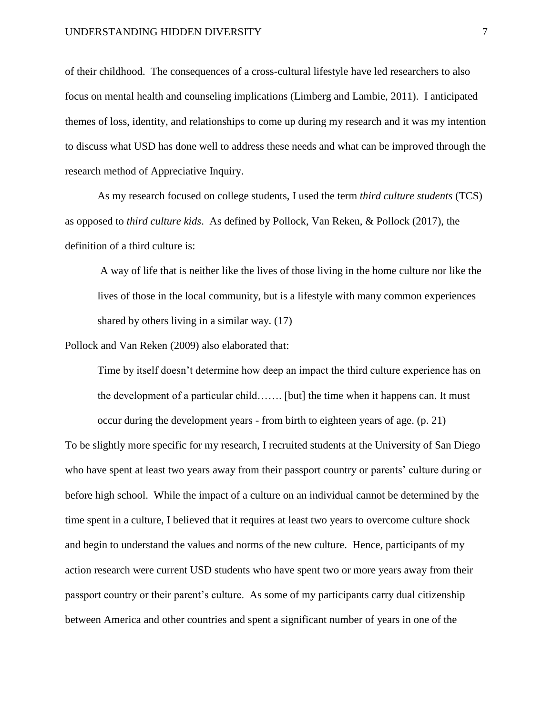of their childhood. The consequences of a cross-cultural lifestyle have led researchers to also focus on mental health and counseling implications (Limberg and Lambie, 2011). I anticipated themes of loss, identity, and relationships to come up during my research and it was my intention to discuss what USD has done well to address these needs and what can be improved through the research method of Appreciative Inquiry.

As my research focused on college students, I used the term *third culture students* (TCS) as opposed to *third culture kids*. As defined by Pollock, Van Reken, & Pollock (2017), the definition of a third culture is:

A way of life that is neither like the lives of those living in the home culture nor like the lives of those in the local community, but is a lifestyle with many common experiences shared by others living in a similar way. (17)

Pollock and Van Reken (2009) also elaborated that:

Time by itself doesn't determine how deep an impact the third culture experience has on the development of a particular child……. [but] the time when it happens can. It must occur during the development years - from birth to eighteen years of age. (p. 21)

To be slightly more specific for my research, I recruited students at the University of San Diego who have spent at least two years away from their passport country or parents' culture during or before high school. While the impact of a culture on an individual cannot be determined by the time spent in a culture, I believed that it requires at least two years to overcome culture shock and begin to understand the values and norms of the new culture. Hence, participants of my action research were current USD students who have spent two or more years away from their passport country or their parent's culture. As some of my participants carry dual citizenship between America and other countries and spent a significant number of years in one of the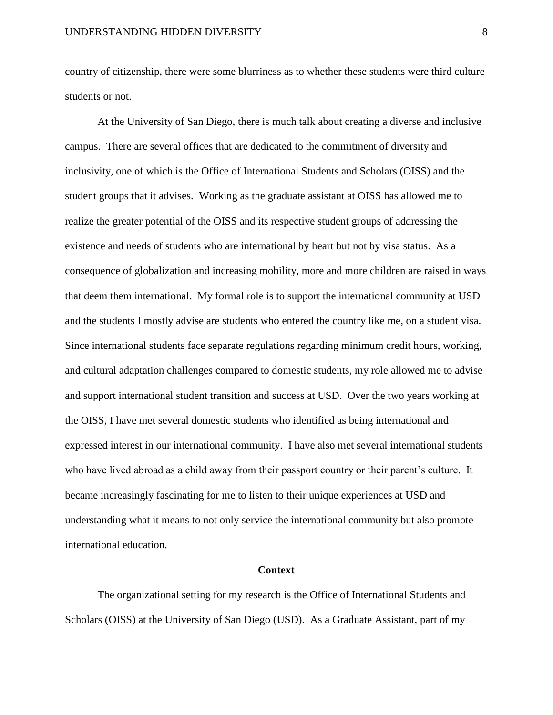country of citizenship, there were some blurriness as to whether these students were third culture students or not.

At the University of San Diego, there is much talk about creating a diverse and inclusive campus. There are several offices that are dedicated to the commitment of diversity and inclusivity, one of which is the Office of International Students and Scholars (OISS) and the student groups that it advises. Working as the graduate assistant at OISS has allowed me to realize the greater potential of the OISS and its respective student groups of addressing the existence and needs of students who are international by heart but not by visa status. As a consequence of globalization and increasing mobility, more and more children are raised in ways that deem them international. My formal role is to support the international community at USD and the students I mostly advise are students who entered the country like me, on a student visa. Since international students face separate regulations regarding minimum credit hours, working, and cultural adaptation challenges compared to domestic students, my role allowed me to advise and support international student transition and success at USD. Over the two years working at the OISS, I have met several domestic students who identified as being international and expressed interest in our international community. I have also met several international students who have lived abroad as a child away from their passport country or their parent's culture. It became increasingly fascinating for me to listen to their unique experiences at USD and understanding what it means to not only service the international community but also promote international education.

#### **Context**

The organizational setting for my research is the Office of International Students and Scholars (OISS) at the University of San Diego (USD). As a Graduate Assistant, part of my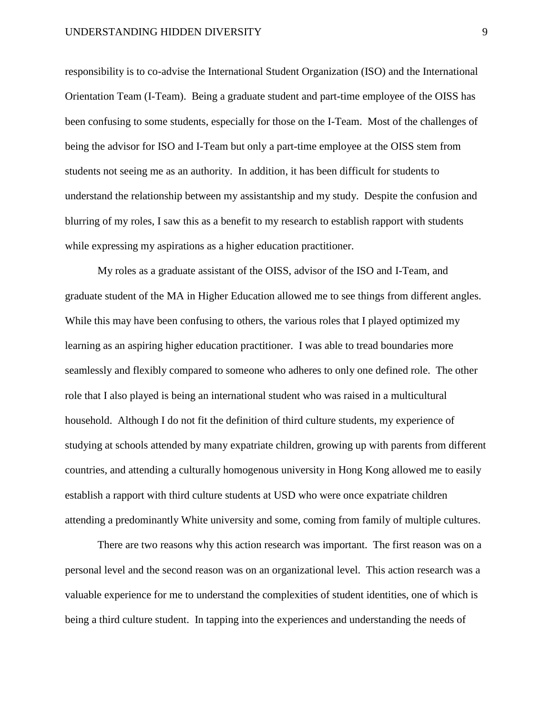responsibility is to co-advise the International Student Organization (ISO) and the International Orientation Team (I-Team). Being a graduate student and part-time employee of the OISS has been confusing to some students, especially for those on the I-Team. Most of the challenges of being the advisor for ISO and I-Team but only a part-time employee at the OISS stem from students not seeing me as an authority. In addition, it has been difficult for students to understand the relationship between my assistantship and my study. Despite the confusion and blurring of my roles, I saw this as a benefit to my research to establish rapport with students while expressing my aspirations as a higher education practitioner.

My roles as a graduate assistant of the OISS, advisor of the ISO and I-Team, and graduate student of the MA in Higher Education allowed me to see things from different angles. While this may have been confusing to others, the various roles that I played optimized my learning as an aspiring higher education practitioner. I was able to tread boundaries more seamlessly and flexibly compared to someone who adheres to only one defined role. The other role that I also played is being an international student who was raised in a multicultural household. Although I do not fit the definition of third culture students, my experience of studying at schools attended by many expatriate children, growing up with parents from different countries, and attending a culturally homogenous university in Hong Kong allowed me to easily establish a rapport with third culture students at USD who were once expatriate children attending a predominantly White university and some, coming from family of multiple cultures.

There are two reasons why this action research was important. The first reason was on a personal level and the second reason was on an organizational level. This action research was a valuable experience for me to understand the complexities of student identities, one of which is being a third culture student. In tapping into the experiences and understanding the needs of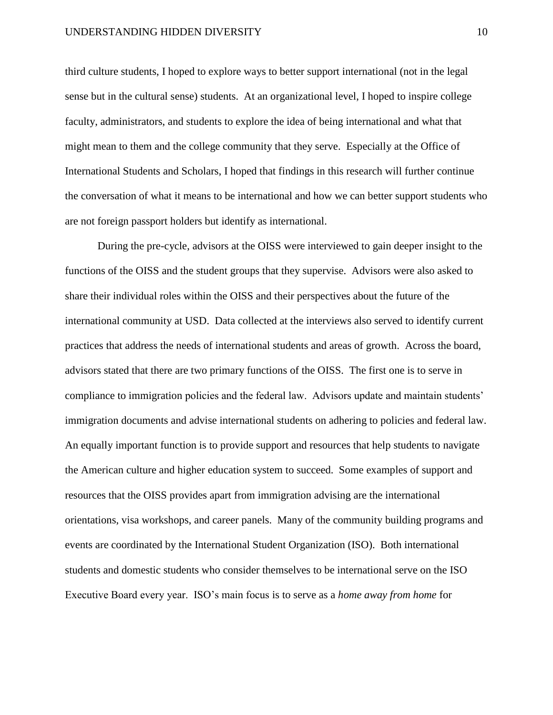third culture students, I hoped to explore ways to better support international (not in the legal sense but in the cultural sense) students. At an organizational level, I hoped to inspire college faculty, administrators, and students to explore the idea of being international and what that might mean to them and the college community that they serve. Especially at the Office of International Students and Scholars, I hoped that findings in this research will further continue the conversation of what it means to be international and how we can better support students who are not foreign passport holders but identify as international.

During the pre-cycle, advisors at the OISS were interviewed to gain deeper insight to the functions of the OISS and the student groups that they supervise. Advisors were also asked to share their individual roles within the OISS and their perspectives about the future of the international community at USD. Data collected at the interviews also served to identify current practices that address the needs of international students and areas of growth. Across the board, advisors stated that there are two primary functions of the OISS. The first one is to serve in compliance to immigration policies and the federal law. Advisors update and maintain students' immigration documents and advise international students on adhering to policies and federal law. An equally important function is to provide support and resources that help students to navigate the American culture and higher education system to succeed. Some examples of support and resources that the OISS provides apart from immigration advising are the international orientations, visa workshops, and career panels. Many of the community building programs and events are coordinated by the International Student Organization (ISO). Both international students and domestic students who consider themselves to be international serve on the ISO Executive Board every year. ISO's main focus is to serve as a *home away from home* for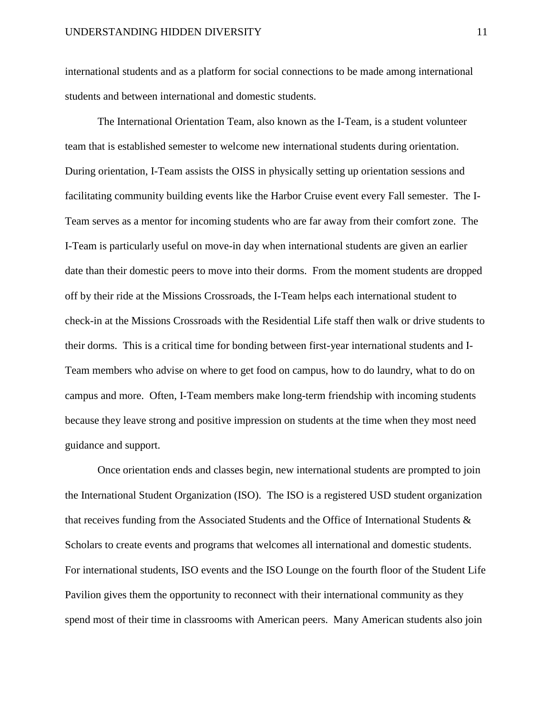international students and as a platform for social connections to be made among international students and between international and domestic students.

The International Orientation Team, also known as the I-Team, is a student volunteer team that is established semester to welcome new international students during orientation. During orientation, I-Team assists the OISS in physically setting up orientation sessions and facilitating community building events like the Harbor Cruise event every Fall semester. The I-Team serves as a mentor for incoming students who are far away from their comfort zone. The I-Team is particularly useful on move-in day when international students are given an earlier date than their domestic peers to move into their dorms. From the moment students are dropped off by their ride at the Missions Crossroads, the I-Team helps each international student to check-in at the Missions Crossroads with the Residential Life staff then walk or drive students to their dorms. This is a critical time for bonding between first-year international students and I-Team members who advise on where to get food on campus, how to do laundry, what to do on campus and more. Often, I-Team members make long-term friendship with incoming students because they leave strong and positive impression on students at the time when they most need guidance and support.

Once orientation ends and classes begin, new international students are prompted to join the International Student Organization (ISO). The ISO is a registered USD student organization that receives funding from the Associated Students and the Office of International Students & Scholars to create events and programs that welcomes all international and domestic students. For international students, ISO events and the ISO Lounge on the fourth floor of the Student Life Pavilion gives them the opportunity to reconnect with their international community as they spend most of their time in classrooms with American peers. Many American students also join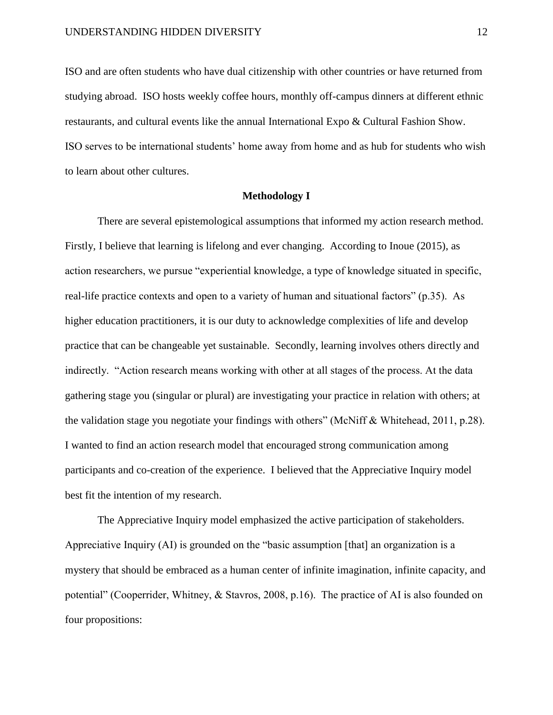ISO and are often students who have dual citizenship with other countries or have returned from studying abroad. ISO hosts weekly coffee hours, monthly off-campus dinners at different ethnic restaurants, and cultural events like the annual International Expo & Cultural Fashion Show. ISO serves to be international students' home away from home and as hub for students who wish to learn about other cultures.

### **Methodology I**

There are several epistemological assumptions that informed my action research method. Firstly, I believe that learning is lifelong and ever changing. According to Inoue (2015), as action researchers, we pursue "experiential knowledge, a type of knowledge situated in specific, real-life practice contexts and open to a variety of human and situational factors" (p.35). As higher education practitioners, it is our duty to acknowledge complexities of life and develop practice that can be changeable yet sustainable. Secondly, learning involves others directly and indirectly. "Action research means working with other at all stages of the process. At the data gathering stage you (singular or plural) are investigating your practice in relation with others; at the validation stage you negotiate your findings with others" (McNiff & Whitehead, 2011, p.28). I wanted to find an action research model that encouraged strong communication among participants and co-creation of the experience. I believed that the Appreciative Inquiry model best fit the intention of my research.

The Appreciative Inquiry model emphasized the active participation of stakeholders. Appreciative Inquiry (AI) is grounded on the "basic assumption [that] an organization is a mystery that should be embraced as a human center of infinite imagination, infinite capacity, and potential" (Cooperrider, Whitney, & Stavros, 2008, p.16). The practice of AI is also founded on four propositions: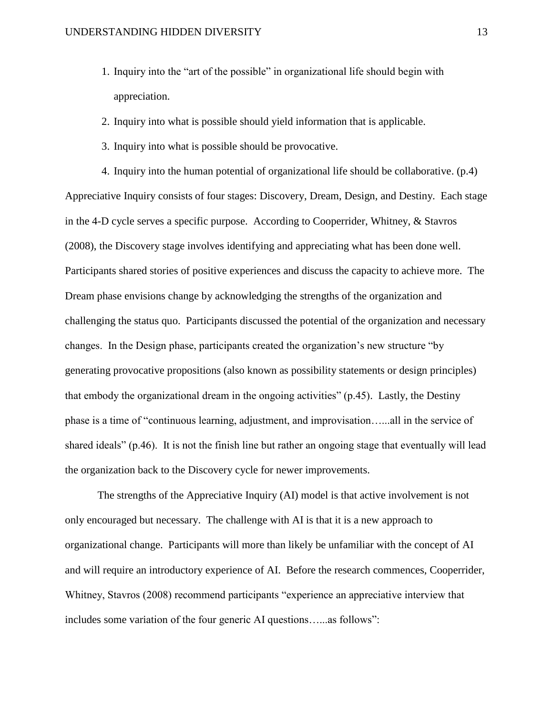- 1. Inquiry into the "art of the possible" in organizational life should begin with appreciation.
- 2. Inquiry into what is possible should yield information that is applicable.
- 3. Inquiry into what is possible should be provocative.

4. Inquiry into the human potential of organizational life should be collaborative. (p.4) Appreciative Inquiry consists of four stages: Discovery, Dream, Design, and Destiny. Each stage in the 4-D cycle serves a specific purpose. According to Cooperrider, Whitney, & Stavros (2008), the Discovery stage involves identifying and appreciating what has been done well. Participants shared stories of positive experiences and discuss the capacity to achieve more. The Dream phase envisions change by acknowledging the strengths of the organization and challenging the status quo. Participants discussed the potential of the organization and necessary changes. In the Design phase, participants created the organization's new structure "by generating provocative propositions (also known as possibility statements or design principles) that embody the organizational dream in the ongoing activities" (p.45). Lastly, the Destiny phase is a time of "continuous learning, adjustment, and improvisation…...all in the service of shared ideals" (p.46). It is not the finish line but rather an ongoing stage that eventually will lead the organization back to the Discovery cycle for newer improvements.

The strengths of the Appreciative Inquiry (AI) model is that active involvement is not only encouraged but necessary. The challenge with AI is that it is a new approach to organizational change. Participants will more than likely be unfamiliar with the concept of AI and will require an introductory experience of AI. Before the research commences, Cooperrider, Whitney, Stavros (2008) recommend participants "experience an appreciative interview that includes some variation of the four generic AI questions…...as follows":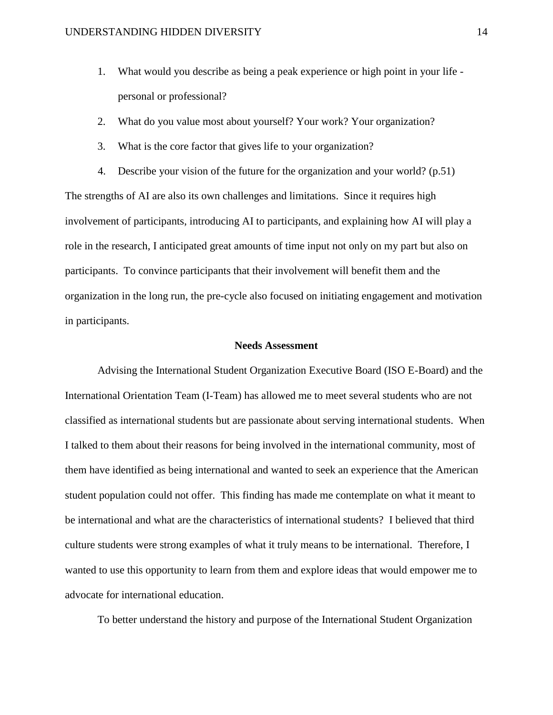- 1. What would you describe as being a peak experience or high point in your life personal or professional?
- 2. What do you value most about yourself? Your work? Your organization?
- 3. What is the core factor that gives life to your organization?

4. Describe your vision of the future for the organization and your world? (p.51) The strengths of AI are also its own challenges and limitations. Since it requires high involvement of participants, introducing AI to participants, and explaining how AI will play a role in the research, I anticipated great amounts of time input not only on my part but also on participants. To convince participants that their involvement will benefit them and the organization in the long run, the pre-cycle also focused on initiating engagement and motivation in participants.

### **Needs Assessment**

Advising the International Student Organization Executive Board (ISO E-Board) and the International Orientation Team (I-Team) has allowed me to meet several students who are not classified as international students but are passionate about serving international students. When I talked to them about their reasons for being involved in the international community, most of them have identified as being international and wanted to seek an experience that the American student population could not offer. This finding has made me contemplate on what it meant to be international and what are the characteristics of international students? I believed that third culture students were strong examples of what it truly means to be international. Therefore, I wanted to use this opportunity to learn from them and explore ideas that would empower me to advocate for international education.

To better understand the history and purpose of the International Student Organization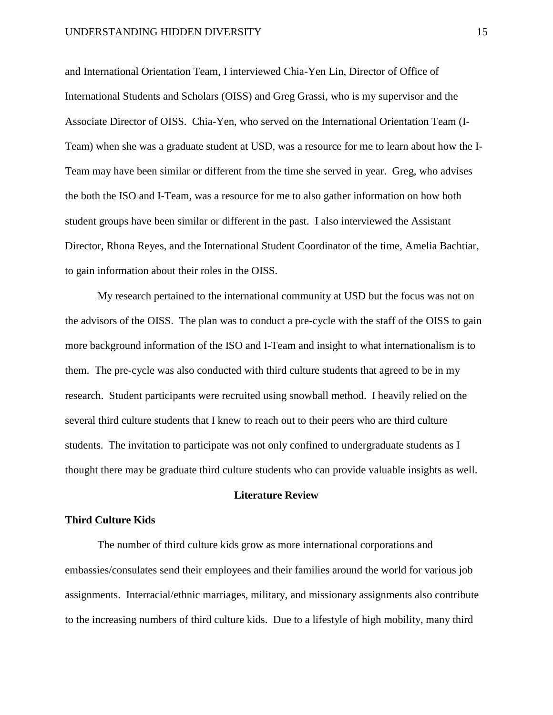and International Orientation Team, I interviewed Chia-Yen Lin, Director of Office of International Students and Scholars (OISS) and Greg Grassi, who is my supervisor and the Associate Director of OISS. Chia-Yen, who served on the International Orientation Team (I-Team) when she was a graduate student at USD, was a resource for me to learn about how the I-Team may have been similar or different from the time she served in year. Greg, who advises the both the ISO and I-Team, was a resource for me to also gather information on how both student groups have been similar or different in the past. I also interviewed the Assistant Director, Rhona Reyes, and the International Student Coordinator of the time, Amelia Bachtiar, to gain information about their roles in the OISS.

My research pertained to the international community at USD but the focus was not on the advisors of the OISS. The plan was to conduct a pre-cycle with the staff of the OISS to gain more background information of the ISO and I-Team and insight to what internationalism is to them. The pre-cycle was also conducted with third culture students that agreed to be in my research. Student participants were recruited using snowball method. I heavily relied on the several third culture students that I knew to reach out to their peers who are third culture students. The invitation to participate was not only confined to undergraduate students as I thought there may be graduate third culture students who can provide valuable insights as well.

# **Literature Review**

### **Third Culture Kids**

The number of third culture kids grow as more international corporations and embassies/consulates send their employees and their families around the world for various job assignments. Interracial/ethnic marriages, military, and missionary assignments also contribute to the increasing numbers of third culture kids. Due to a lifestyle of high mobility, many third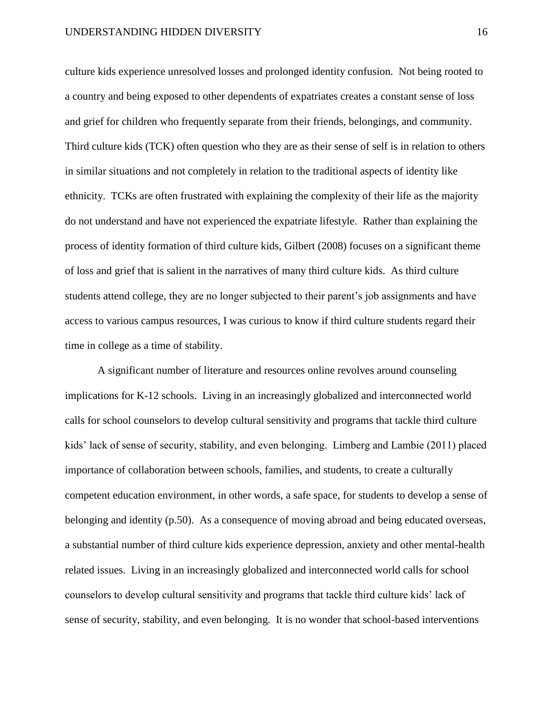culture kids experience unresolved losses and prolonged identity confusion. Not being rooted to a country and being exposed to other dependents of expatriates creates a constant sense of loss and grief for children who frequently separate from their friends, belongings, and community. Third culture kids (TCK) often question who they are as their sense of self is in relation to others in similar situations and not completely in relation to the traditional aspects of identity like ethnicity. TCKs are often frustrated with explaining the complexity of their life as the majority do not understand and have not experienced the expatriate lifestyle. Rather than explaining the process of identity formation of third culture kids, Gilbert (2008) focuses on a significant theme of loss and grief that is salient in the narratives of many third culture kids. As third culture students attend college, they are no longer subjected to their parent's job assignments and have access to various campus resources, I was curious to know if third culture students regard their time in college as a time of stability.

A significant number of literature and resources online revolves around counseling implications for K-12 schools. Living in an increasingly globalized and interconnected world calls for school counselors to develop cultural sensitivity and programs that tackle third culture kids' lack of sense of security, stability, and even belonging. Limberg and Lambie (2011) placed importance of collaboration between schools, families, and students, to create a culturally competent education environment, in other words, a safe space, for students to develop a sense of belonging and identity (p.50). As a consequence of moving abroad and being educated overseas, a substantial number of third culture kids experience depression, anxiety and other mental-health related issues. Living in an increasingly globalized and interconnected world calls for school counselors to develop cultural sensitivity and programs that tackle third culture kids' lack of sense of security, stability, and even belonging. It is no wonder that school-based interventions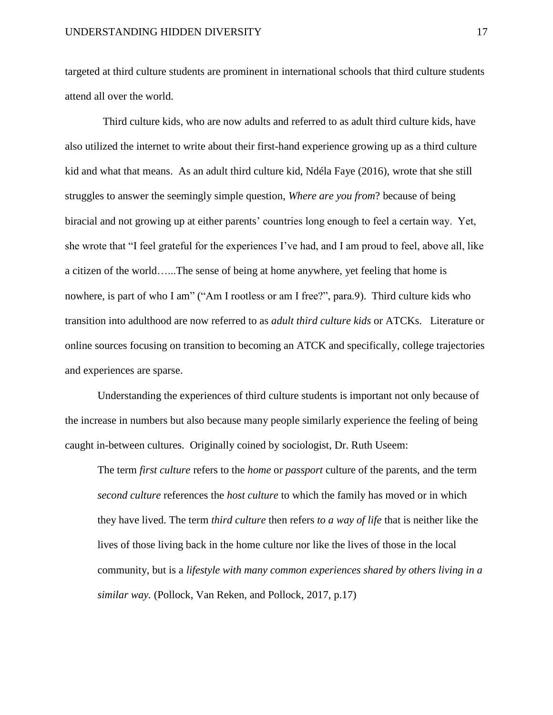targeted at third culture students are prominent in international schools that third culture students attend all over the world.

 Third culture kids, who are now adults and referred to as adult third culture kids, have also utilized the internet to write about their first-hand experience growing up as a third culture kid and what that means. As an adult third culture kid, Ndéla Faye (2016), wrote that she still struggles to answer the seemingly simple question, *Where are you from*? because of being biracial and not growing up at either parents' countries long enough to feel a certain way. Yet, she wrote that "I feel grateful for the experiences I've had, and I am proud to feel, above all, like a citizen of the world…...The sense of being at home anywhere, yet feeling that home is nowhere, is part of who I am" ("Am I rootless or am I free?", para.9). Third culture kids who transition into adulthood are now referred to as *adult third culture kids* or ATCKs. Literature or online sources focusing on transition to becoming an ATCK and specifically, college trajectories and experiences are sparse.

Understanding the experiences of third culture students is important not only because of the increase in numbers but also because many people similarly experience the feeling of being caught in-between cultures. Originally coined by sociologist, Dr. Ruth Useem:

The term *first culture* refers to the *home* or *passport* culture of the parents, and the term *second culture* references the *host culture* to which the family has moved or in which they have lived. The term *third culture* then refers *to a way of life* that is neither like the lives of those living back in the home culture nor like the lives of those in the local community, but is a *lifestyle with many common experiences shared by others living in a similar way.* (Pollock, Van Reken, and Pollock, 2017, p.17)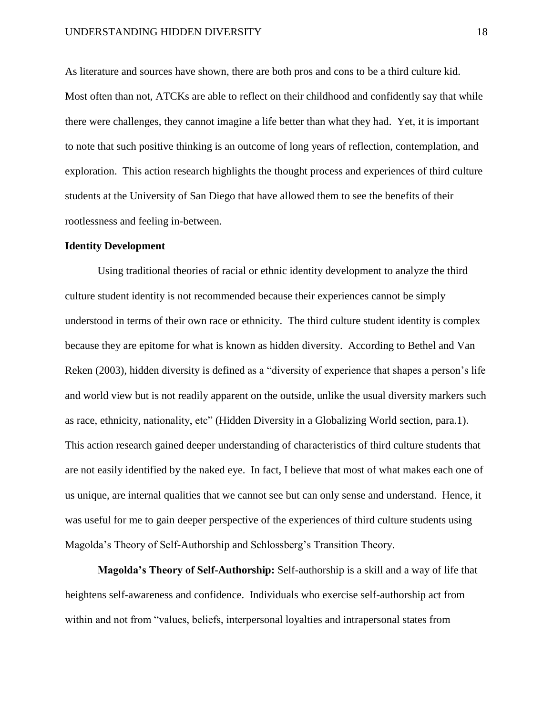As literature and sources have shown, there are both pros and cons to be a third culture kid. Most often than not, ATCKs are able to reflect on their childhood and confidently say that while there were challenges, they cannot imagine a life better than what they had. Yet, it is important to note that such positive thinking is an outcome of long years of reflection, contemplation, and exploration. This action research highlights the thought process and experiences of third culture students at the University of San Diego that have allowed them to see the benefits of their rootlessness and feeling in-between.

### **Identity Development**

Using traditional theories of racial or ethnic identity development to analyze the third culture student identity is not recommended because their experiences cannot be simply understood in terms of their own race or ethnicity. The third culture student identity is complex because they are epitome for what is known as hidden diversity. According to Bethel and Van Reken (2003), hidden diversity is defined as a "diversity of experience that shapes a person's life and world view but is not readily apparent on the outside, unlike the usual diversity markers such as race, ethnicity, nationality, etc" (Hidden Diversity in a Globalizing World section, para.1). This action research gained deeper understanding of characteristics of third culture students that are not easily identified by the naked eye. In fact, I believe that most of what makes each one of us unique, are internal qualities that we cannot see but can only sense and understand. Hence, it was useful for me to gain deeper perspective of the experiences of third culture students using Magolda's Theory of Self-Authorship and Schlossberg's Transition Theory.

**Magolda's Theory of Self-Authorship:** Self-authorship is a skill and a way of life that heightens self-awareness and confidence. Individuals who exercise self-authorship act from within and not from "values, beliefs, interpersonal loyalties and intrapersonal states from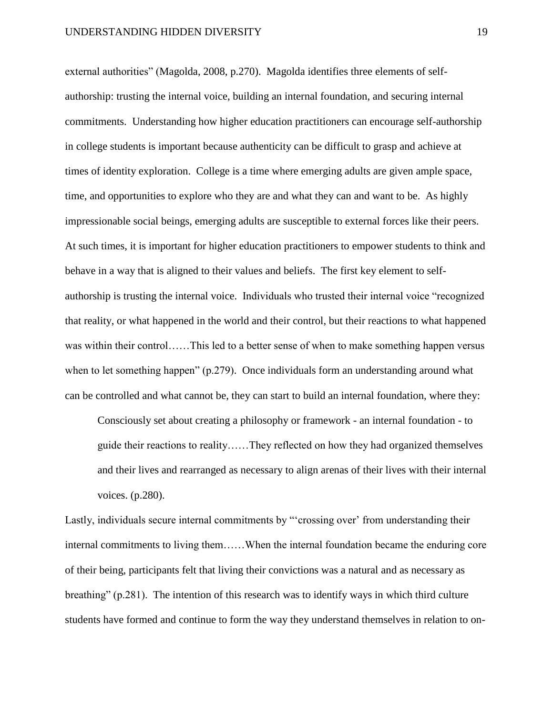external authorities" (Magolda, 2008, p.270). Magolda identifies three elements of selfauthorship: trusting the internal voice, building an internal foundation, and securing internal commitments. Understanding how higher education practitioners can encourage self-authorship in college students is important because authenticity can be difficult to grasp and achieve at times of identity exploration. College is a time where emerging adults are given ample space, time, and opportunities to explore who they are and what they can and want to be. As highly impressionable social beings, emerging adults are susceptible to external forces like their peers. At such times, it is important for higher education practitioners to empower students to think and behave in a way that is aligned to their values and beliefs. The first key element to selfauthorship is trusting the internal voice. Individuals who trusted their internal voice "recognized that reality, or what happened in the world and their control, but their reactions to what happened was within their control……This led to a better sense of when to make something happen versus when to let something happen" (p.279). Once individuals form an understanding around what can be controlled and what cannot be, they can start to build an internal foundation, where they:

Consciously set about creating a philosophy or framework - an internal foundation - to guide their reactions to reality……They reflected on how they had organized themselves and their lives and rearranged as necessary to align arenas of their lives with their internal voices. (p.280).

Lastly, individuals secure internal commitments by "'crossing over' from understanding their internal commitments to living them……When the internal foundation became the enduring core of their being, participants felt that living their convictions was a natural and as necessary as breathing" (p.281). The intention of this research was to identify ways in which third culture students have formed and continue to form the way they understand themselves in relation to on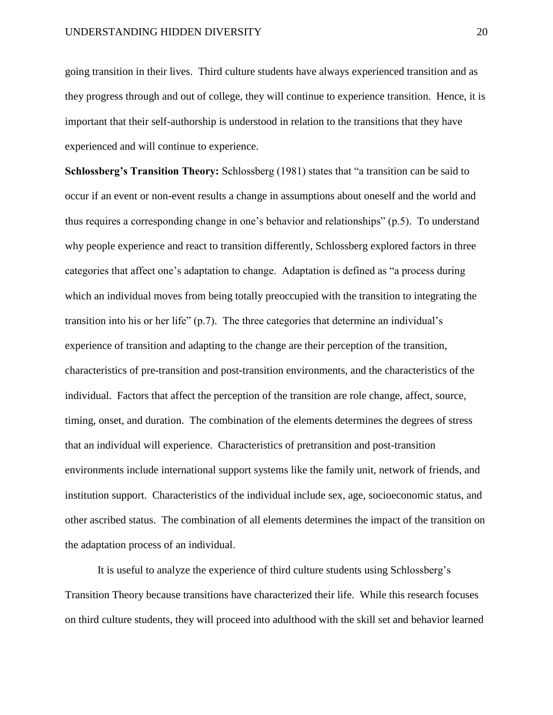going transition in their lives. Third culture students have always experienced transition and as they progress through and out of college, they will continue to experience transition. Hence, it is important that their self-authorship is understood in relation to the transitions that they have experienced and will continue to experience.

**Schlossberg's Transition Theory:** Schlossberg (1981) states that "a transition can be said to occur if an event or non-event results a change in assumptions about oneself and the world and thus requires a corresponding change in one's behavior and relationships" (p.5). To understand why people experience and react to transition differently, Schlossberg explored factors in three categories that affect one's adaptation to change. Adaptation is defined as "a process during which an individual moves from being totally preoccupied with the transition to integrating the transition into his or her life" (p.7). The three categories that determine an individual's experience of transition and adapting to the change are their perception of the transition, characteristics of pre-transition and post-transition environments, and the characteristics of the individual. Factors that affect the perception of the transition are role change, affect, source, timing, onset, and duration. The combination of the elements determines the degrees of stress that an individual will experience. Characteristics of pretransition and post-transition environments include international support systems like the family unit, network of friends, and institution support. Characteristics of the individual include sex, age, socioeconomic status, and other ascribed status. The combination of all elements determines the impact of the transition on the adaptation process of an individual.

It is useful to analyze the experience of third culture students using Schlossberg's Transition Theory because transitions have characterized their life. While this research focuses on third culture students, they will proceed into adulthood with the skill set and behavior learned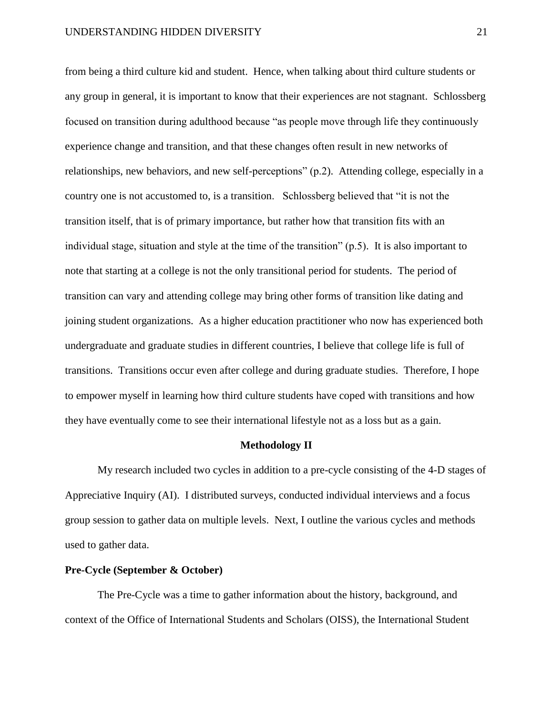from being a third culture kid and student. Hence, when talking about third culture students or any group in general, it is important to know that their experiences are not stagnant. Schlossberg focused on transition during adulthood because "as people move through life they continuously experience change and transition, and that these changes often result in new networks of relationships, new behaviors, and new self-perceptions" (p.2). Attending college, especially in a country one is not accustomed to, is a transition. Schlossberg believed that "it is not the transition itself, that is of primary importance, but rather how that transition fits with an individual stage, situation and style at the time of the transition" (p.5). It is also important to note that starting at a college is not the only transitional period for students. The period of transition can vary and attending college may bring other forms of transition like dating and joining student organizations. As a higher education practitioner who now has experienced both undergraduate and graduate studies in different countries, I believe that college life is full of transitions. Transitions occur even after college and during graduate studies. Therefore, I hope to empower myself in learning how third culture students have coped with transitions and how they have eventually come to see their international lifestyle not as a loss but as a gain.

#### **Methodology II**

My research included two cycles in addition to a pre-cycle consisting of the 4-D stages of Appreciative Inquiry (AI). I distributed surveys, conducted individual interviews and a focus group session to gather data on multiple levels. Next, I outline the various cycles and methods used to gather data.

### **Pre-Cycle (September & October)**

The Pre-Cycle was a time to gather information about the history, background, and context of the Office of International Students and Scholars (OISS), the International Student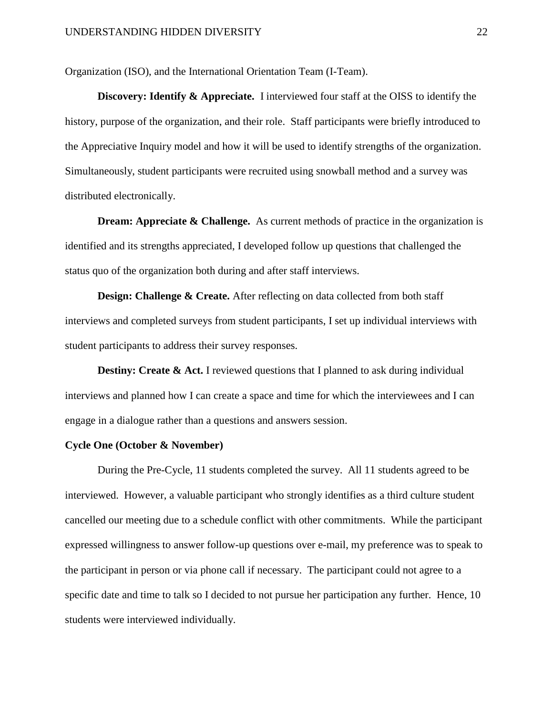Organization (ISO), and the International Orientation Team (I-Team).

**Discovery: Identify & Appreciate.** I interviewed four staff at the OISS to identify the history, purpose of the organization, and their role. Staff participants were briefly introduced to the Appreciative Inquiry model and how it will be used to identify strengths of the organization. Simultaneously, student participants were recruited using snowball method and a survey was distributed electronically.

**Dream: Appreciate & Challenge.** As current methods of practice in the organization is identified and its strengths appreciated, I developed follow up questions that challenged the status quo of the organization both during and after staff interviews.

**Design: Challenge & Create.** After reflecting on data collected from both staff interviews and completed surveys from student participants, I set up individual interviews with student participants to address their survey responses.

**Destiny: Create & Act.** I reviewed questions that I planned to ask during individual interviews and planned how I can create a space and time for which the interviewees and I can engage in a dialogue rather than a questions and answers session.

## **Cycle One (October & November)**

During the Pre-Cycle, 11 students completed the survey. All 11 students agreed to be interviewed. However, a valuable participant who strongly identifies as a third culture student cancelled our meeting due to a schedule conflict with other commitments. While the participant expressed willingness to answer follow-up questions over e-mail, my preference was to speak to the participant in person or via phone call if necessary. The participant could not agree to a specific date and time to talk so I decided to not pursue her participation any further. Hence, 10 students were interviewed individually.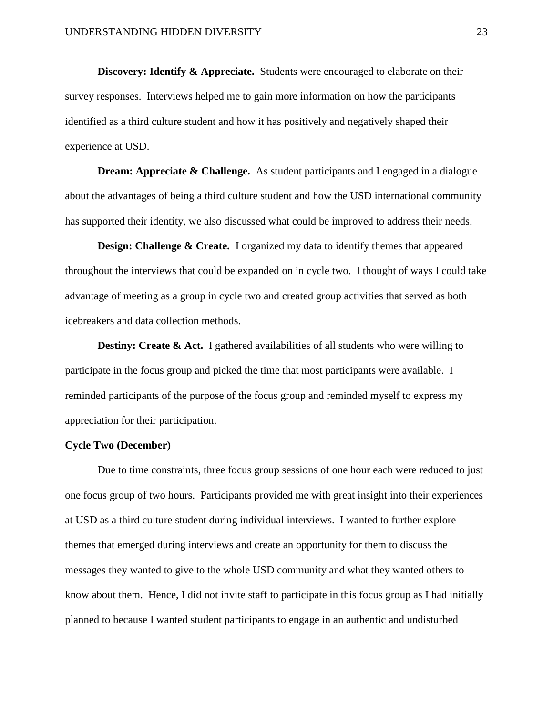**Discovery: Identify & Appreciate.** Students were encouraged to elaborate on their survey responses. Interviews helped me to gain more information on how the participants identified as a third culture student and how it has positively and negatively shaped their experience at USD.

**Dream: Appreciate & Challenge.** As student participants and I engaged in a dialogue about the advantages of being a third culture student and how the USD international community has supported their identity, we also discussed what could be improved to address their needs.

**Design: Challenge & Create.** I organized my data to identify themes that appeared throughout the interviews that could be expanded on in cycle two. I thought of ways I could take advantage of meeting as a group in cycle two and created group activities that served as both icebreakers and data collection methods.

**Destiny: Create & Act.** I gathered availabilities of all students who were willing to participate in the focus group and picked the time that most participants were available. I reminded participants of the purpose of the focus group and reminded myself to express my appreciation for their participation.

#### **Cycle Two (December)**

Due to time constraints, three focus group sessions of one hour each were reduced to just one focus group of two hours. Participants provided me with great insight into their experiences at USD as a third culture student during individual interviews. I wanted to further explore themes that emerged during interviews and create an opportunity for them to discuss the messages they wanted to give to the whole USD community and what they wanted others to know about them. Hence, I did not invite staff to participate in this focus group as I had initially planned to because I wanted student participants to engage in an authentic and undisturbed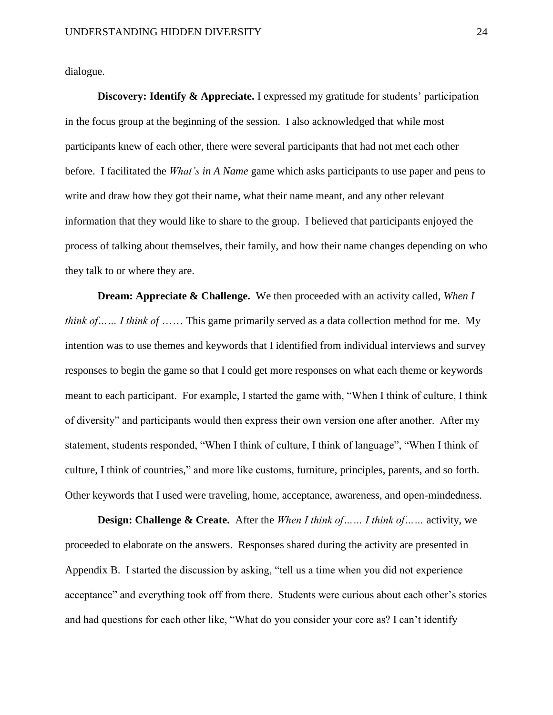dialogue.

**Discovery: Identify & Appreciate.** I expressed my gratitude for students' participation in the focus group at the beginning of the session. I also acknowledged that while most participants knew of each other, there were several participants that had not met each other before. I facilitated the *What's in A Name* game which asks participants to use paper and pens to write and draw how they got their name, what their name meant, and any other relevant information that they would like to share to the group. I believed that participants enjoyed the process of talking about themselves, their family, and how their name changes depending on who they talk to or where they are.

**Dream: Appreciate & Challenge.** We then proceeded with an activity called, *When I think of…… I think of ……* This game primarily served as a data collection method for me. My intention was to use themes and keywords that I identified from individual interviews and survey responses to begin the game so that I could get more responses on what each theme or keywords meant to each participant. For example, I started the game with, "When I think of culture, I think of diversity" and participants would then express their own version one after another. After my statement, students responded, "When I think of culture, I think of language", "When I think of culture, I think of countries," and more like customs, furniture, principles, parents, and so forth. Other keywords that I used were traveling, home, acceptance, awareness, and open-mindedness.

**Design: Challenge & Create.** After the *When I think of…… I think of……* activity, we proceeded to elaborate on the answers. Responses shared during the activity are presented in Appendix B. I started the discussion by asking, "tell us a time when you did not experience acceptance" and everything took off from there. Students were curious about each other's stories and had questions for each other like, "What do you consider your core as? I can't identify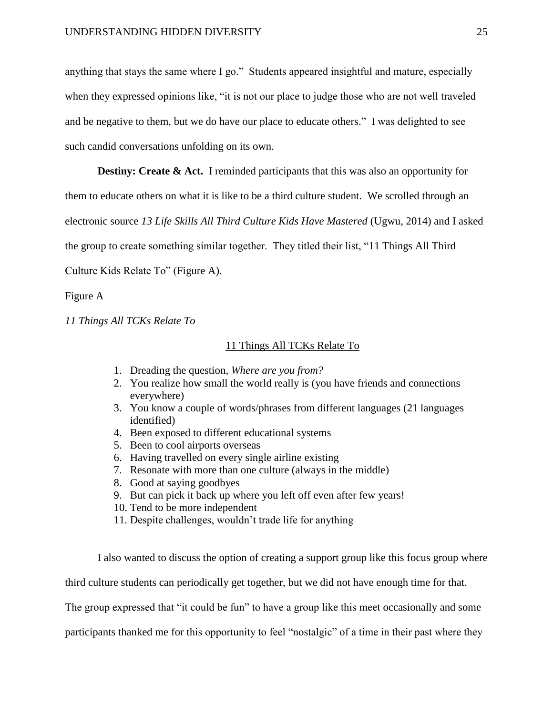anything that stays the same where I go." Students appeared insightful and mature, especially when they expressed opinions like, "it is not our place to judge those who are not well traveled and be negative to them, but we do have our place to educate others." I was delighted to see such candid conversations unfolding on its own.

**Destiny: Create & Act.** I reminded participants that this was also an opportunity for them to educate others on what it is like to be a third culture student. We scrolled through an electronic source *13 Life Skills All Third Culture Kids Have Mastered* (Ugwu, 2014) and I asked the group to create something similar together. They titled their list, "11 Things All Third Culture Kids Relate To" (Figure A).

Figure A

*11 Things All TCKs Relate To*

#### 11 Things All TCKs Relate To

- 1. Dreading the question, *Where are you from?*
- 2. You realize how small the world really is (you have friends and connections everywhere)
- 3. You know a couple of words/phrases from different languages (21 languages identified)
- 4. Been exposed to different educational systems
- 5. Been to cool airports overseas
- 6. Having travelled on every single airline existing
- 7. Resonate with more than one culture (always in the middle)
- 8. Good at saying goodbyes
- 9. But can pick it back up where you left off even after few years!
- 10. Tend to be more independent
- 11. Despite challenges, wouldn't trade life for anything

I also wanted to discuss the option of creating a support group like this focus group where

third culture students can periodically get together, but we did not have enough time for that.

The group expressed that "it could be fun" to have a group like this meet occasionally and some

participants thanked me for this opportunity to feel "nostalgic" of a time in their past where they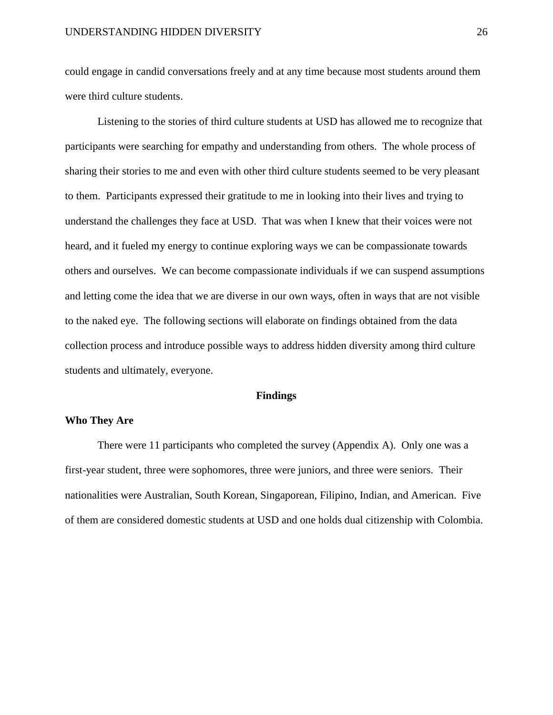could engage in candid conversations freely and at any time because most students around them were third culture students.

Listening to the stories of third culture students at USD has allowed me to recognize that participants were searching for empathy and understanding from others. The whole process of sharing their stories to me and even with other third culture students seemed to be very pleasant to them. Participants expressed their gratitude to me in looking into their lives and trying to understand the challenges they face at USD. That was when I knew that their voices were not heard, and it fueled my energy to continue exploring ways we can be compassionate towards others and ourselves. We can become compassionate individuals if we can suspend assumptions and letting come the idea that we are diverse in our own ways, often in ways that are not visible to the naked eye. The following sections will elaborate on findings obtained from the data collection process and introduce possible ways to address hidden diversity among third culture students and ultimately, everyone.

### **Findings**

# **Who They Are**

There were 11 participants who completed the survey (Appendix A). Only one was a first-year student, three were sophomores, three were juniors, and three were seniors. Their nationalities were Australian, South Korean, Singaporean, Filipino, Indian, and American. Five of them are considered domestic students at USD and one holds dual citizenship with Colombia.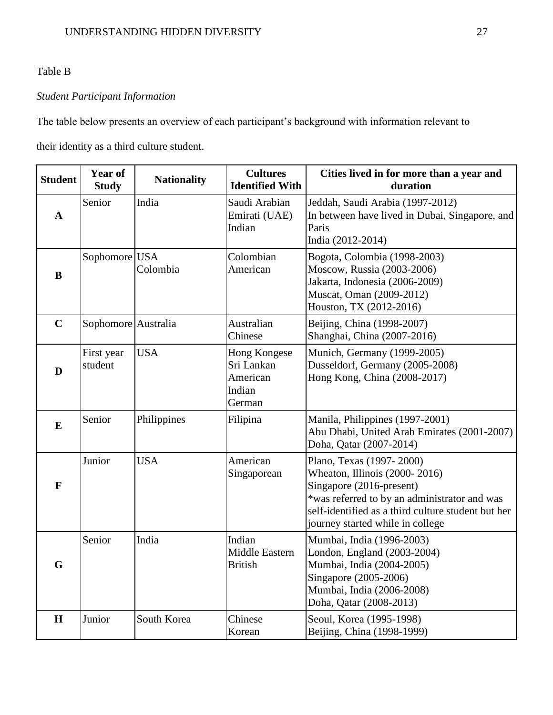# Table B

# *Student Participant Information*

The table below presents an overview of each participant's background with information relevant to

their identity as a third culture student.

| <b>Student</b> | Year of<br><b>Study</b> | <b>Nationality</b> | <b>Cultures</b><br><b>Identified With</b>                  | Cities lived in for more than a year and<br>duration                                                                                                                                                                            |
|----------------|-------------------------|--------------------|------------------------------------------------------------|---------------------------------------------------------------------------------------------------------------------------------------------------------------------------------------------------------------------------------|
| $\mathbf{A}$   | Senior                  | India              | Saudi Arabian<br>Emirati (UAE)<br>Indian                   | Jeddah, Saudi Arabia (1997-2012)<br>In between have lived in Dubai, Singapore, and<br>Paris<br>India (2012-2014)                                                                                                                |
| $\bf{B}$       | Sophomore USA           | Colombia           | Colombian<br>American                                      | Bogota, Colombia (1998-2003)<br>Moscow, Russia (2003-2006)<br>Jakarta, Indonesia (2006-2009)<br>Muscat, Oman (2009-2012)<br>Houston, TX (2012-2016)                                                                             |
| $\overline{C}$ | Sophomore Australia     |                    | Australian<br>Chinese                                      | Beijing, China (1998-2007)<br>Shanghai, China (2007-2016)                                                                                                                                                                       |
| D              | First year<br>student   | <b>USA</b>         | Hong Kongese<br>Sri Lankan<br>American<br>Indian<br>German | Munich, Germany (1999-2005)<br>Dusseldorf, Germany (2005-2008)<br>Hong Kong, China (2008-2017)                                                                                                                                  |
| $\bf{E}$       | Senior                  | Philippines        | Filipina                                                   | Manila, Philippines (1997-2001)<br>Abu Dhabi, United Arab Emirates (2001-2007)<br>Doha, Qatar (2007-2014)                                                                                                                       |
| $\mathbf{F}$   | Junior                  | <b>USA</b>         | American<br>Singaporean                                    | Plano, Texas (1997-2000)<br>Wheaton, Illinois (2000-2016)<br>Singapore (2016-present)<br>*was referred to by an administrator and was<br>self-identified as a third culture student but her<br>journey started while in college |
| G              | Senior                  | India              | Indian<br><b>Middle Eastern</b><br><b>British</b>          | Mumbai, India (1996-2003)<br>London, England (2003-2004)<br>Mumbai, India (2004-2005)<br>Singapore (2005-2006)<br>Mumbai, India (2006-2008)<br>Doha, Qatar (2008-2013)                                                          |
| $\mathbf H$    | Junior                  | South Korea        | Chinese<br>Korean                                          | Seoul, Korea (1995-1998)<br>Beijing, China (1998-1999)                                                                                                                                                                          |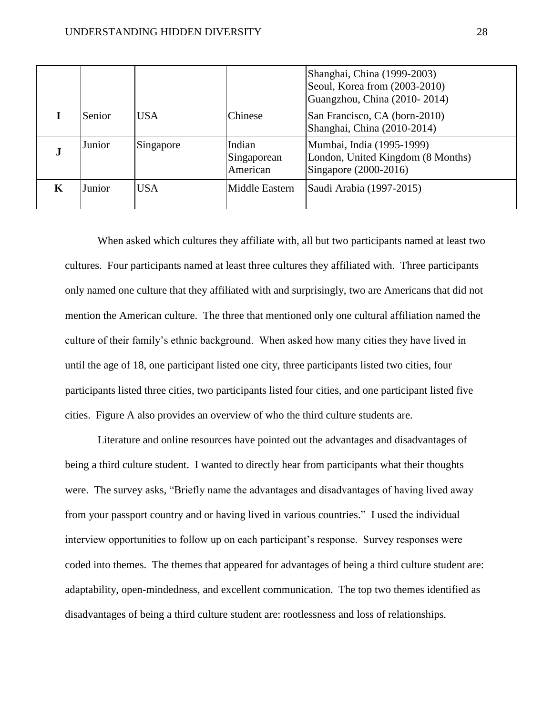|   |        |            |                                   | Shanghai, China (1999-2003)<br>Seoul, Korea from (2003-2010)<br>Guangzhou, China (2010-2014) |
|---|--------|------------|-----------------------------------|----------------------------------------------------------------------------------------------|
|   | Senior | <b>USA</b> | Chinese                           | San Francisco, CA (born-2010)<br>Shanghai, China (2010-2014)                                 |
| J | Junior | Singapore  | Indian<br>Singaporean<br>American | Mumbai, India (1995-1999)<br>London, United Kingdom (8 Months)<br>Singapore (2000-2016)      |
| K | Junior | USA.       | Middle Eastern                    | Saudi Arabia (1997-2015)                                                                     |

When asked which cultures they affiliate with, all but two participants named at least two cultures. Four participants named at least three cultures they affiliated with. Three participants only named one culture that they affiliated with and surprisingly, two are Americans that did not mention the American culture. The three that mentioned only one cultural affiliation named the culture of their family's ethnic background. When asked how many cities they have lived in until the age of 18, one participant listed one city, three participants listed two cities, four participants listed three cities, two participants listed four cities, and one participant listed five cities. Figure A also provides an overview of who the third culture students are.

Literature and online resources have pointed out the advantages and disadvantages of being a third culture student. I wanted to directly hear from participants what their thoughts were. The survey asks, "Briefly name the advantages and disadvantages of having lived away from your passport country and or having lived in various countries." I used the individual interview opportunities to follow up on each participant's response. Survey responses were coded into themes. The themes that appeared for advantages of being a third culture student are: adaptability, open-mindedness, and excellent communication. The top two themes identified as disadvantages of being a third culture student are: rootlessness and loss of relationships.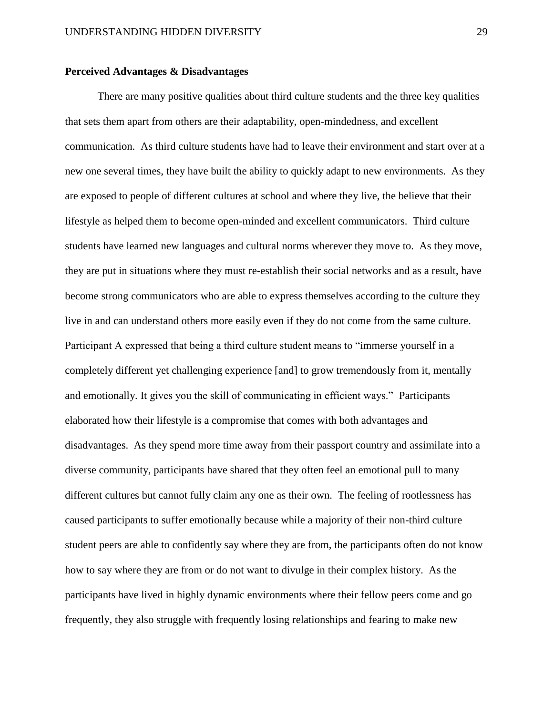## **Perceived Advantages & Disadvantages**

There are many positive qualities about third culture students and the three key qualities that sets them apart from others are their adaptability, open-mindedness, and excellent communication. As third culture students have had to leave their environment and start over at a new one several times, they have built the ability to quickly adapt to new environments. As they are exposed to people of different cultures at school and where they live, the believe that their lifestyle as helped them to become open-minded and excellent communicators. Third culture students have learned new languages and cultural norms wherever they move to. As they move, they are put in situations where they must re-establish their social networks and as a result, have become strong communicators who are able to express themselves according to the culture they live in and can understand others more easily even if they do not come from the same culture. Participant A expressed that being a third culture student means to "immerse yourself in a completely different yet challenging experience [and] to grow tremendously from it, mentally and emotionally. It gives you the skill of communicating in efficient ways." Participants elaborated how their lifestyle is a compromise that comes with both advantages and disadvantages. As they spend more time away from their passport country and assimilate into a diverse community, participants have shared that they often feel an emotional pull to many different cultures but cannot fully claim any one as their own. The feeling of rootlessness has caused participants to suffer emotionally because while a majority of their non-third culture student peers are able to confidently say where they are from, the participants often do not know how to say where they are from or do not want to divulge in their complex history. As the participants have lived in highly dynamic environments where their fellow peers come and go frequently, they also struggle with frequently losing relationships and fearing to make new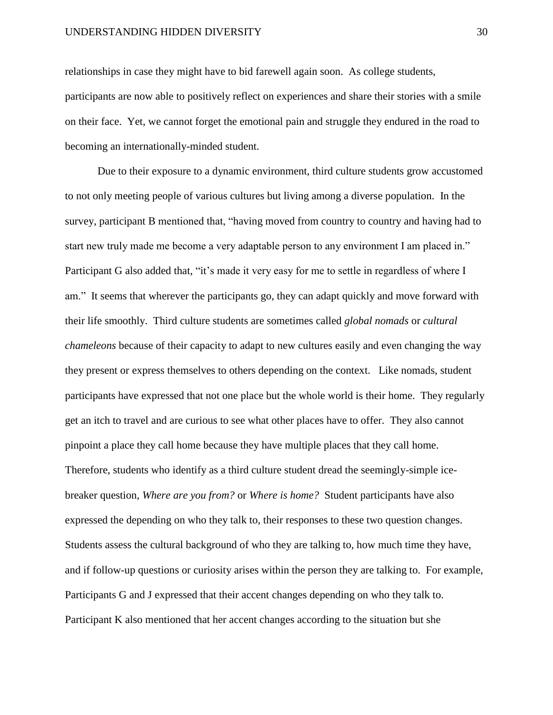relationships in case they might have to bid farewell again soon. As college students, participants are now able to positively reflect on experiences and share their stories with a smile on their face. Yet, we cannot forget the emotional pain and struggle they endured in the road to becoming an internationally-minded student.

Due to their exposure to a dynamic environment, third culture students grow accustomed to not only meeting people of various cultures but living among a diverse population. In the survey, participant B mentioned that, "having moved from country to country and having had to start new truly made me become a very adaptable person to any environment I am placed in." Participant G also added that, "it's made it very easy for me to settle in regardless of where I am." It seems that wherever the participants go, they can adapt quickly and move forward with their life smoothly. Third culture students are sometimes called *global nomads* or *cultural chameleons* because of their capacity to adapt to new cultures easily and even changing the way they present or express themselves to others depending on the context. Like nomads, student participants have expressed that not one place but the whole world is their home. They regularly get an itch to travel and are curious to see what other places have to offer. They also cannot pinpoint a place they call home because they have multiple places that they call home. Therefore, students who identify as a third culture student dread the seemingly-simple icebreaker question, *Where are you from?* or *Where is home?* Student participants have also expressed the depending on who they talk to, their responses to these two question changes. Students assess the cultural background of who they are talking to, how much time they have, and if follow-up questions or curiosity arises within the person they are talking to. For example, Participants G and J expressed that their accent changes depending on who they talk to. Participant K also mentioned that her accent changes according to the situation but she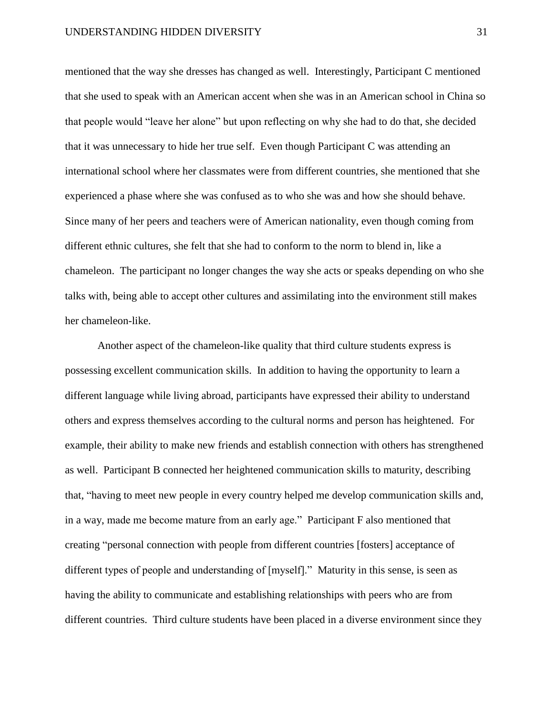mentioned that the way she dresses has changed as well. Interestingly, Participant C mentioned that she used to speak with an American accent when she was in an American school in China so that people would "leave her alone" but upon reflecting on why she had to do that, she decided that it was unnecessary to hide her true self. Even though Participant C was attending an international school where her classmates were from different countries, she mentioned that she experienced a phase where she was confused as to who she was and how she should behave. Since many of her peers and teachers were of American nationality, even though coming from different ethnic cultures, she felt that she had to conform to the norm to blend in, like a chameleon. The participant no longer changes the way she acts or speaks depending on who she talks with, being able to accept other cultures and assimilating into the environment still makes her chameleon-like.

Another aspect of the chameleon-like quality that third culture students express is possessing excellent communication skills. In addition to having the opportunity to learn a different language while living abroad, participants have expressed their ability to understand others and express themselves according to the cultural norms and person has heightened. For example, their ability to make new friends and establish connection with others has strengthened as well. Participant B connected her heightened communication skills to maturity, describing that, "having to meet new people in every country helped me develop communication skills and, in a way, made me become mature from an early age." Participant F also mentioned that creating "personal connection with people from different countries [fosters] acceptance of different types of people and understanding of [myself]." Maturity in this sense, is seen as having the ability to communicate and establishing relationships with peers who are from different countries. Third culture students have been placed in a diverse environment since they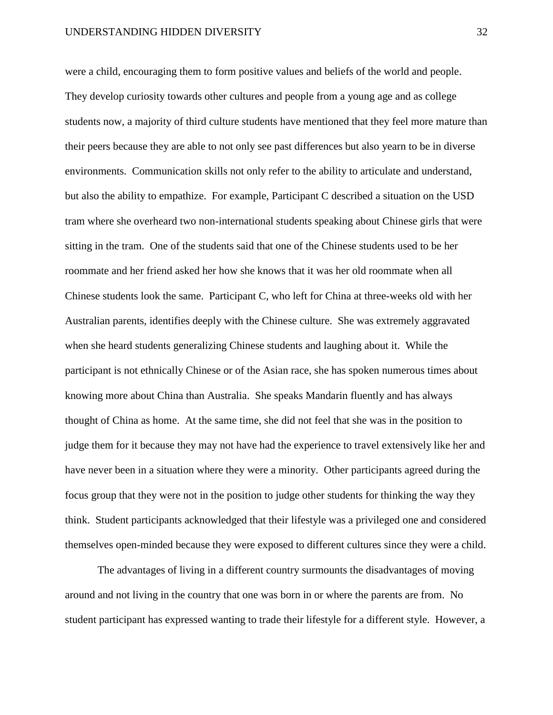were a child, encouraging them to form positive values and beliefs of the world and people. They develop curiosity towards other cultures and people from a young age and as college students now, a majority of third culture students have mentioned that they feel more mature than their peers because they are able to not only see past differences but also yearn to be in diverse environments. Communication skills not only refer to the ability to articulate and understand, but also the ability to empathize. For example, Participant C described a situation on the USD tram where she overheard two non-international students speaking about Chinese girls that were sitting in the tram. One of the students said that one of the Chinese students used to be her roommate and her friend asked her how she knows that it was her old roommate when all Chinese students look the same. Participant C, who left for China at three-weeks old with her Australian parents, identifies deeply with the Chinese culture. She was extremely aggravated when she heard students generalizing Chinese students and laughing about it. While the participant is not ethnically Chinese or of the Asian race, she has spoken numerous times about knowing more about China than Australia. She speaks Mandarin fluently and has always thought of China as home. At the same time, she did not feel that she was in the position to judge them for it because they may not have had the experience to travel extensively like her and have never been in a situation where they were a minority. Other participants agreed during the focus group that they were not in the position to judge other students for thinking the way they think. Student participants acknowledged that their lifestyle was a privileged one and considered themselves open-minded because they were exposed to different cultures since they were a child.

The advantages of living in a different country surmounts the disadvantages of moving around and not living in the country that one was born in or where the parents are from. No student participant has expressed wanting to trade their lifestyle for a different style. However, a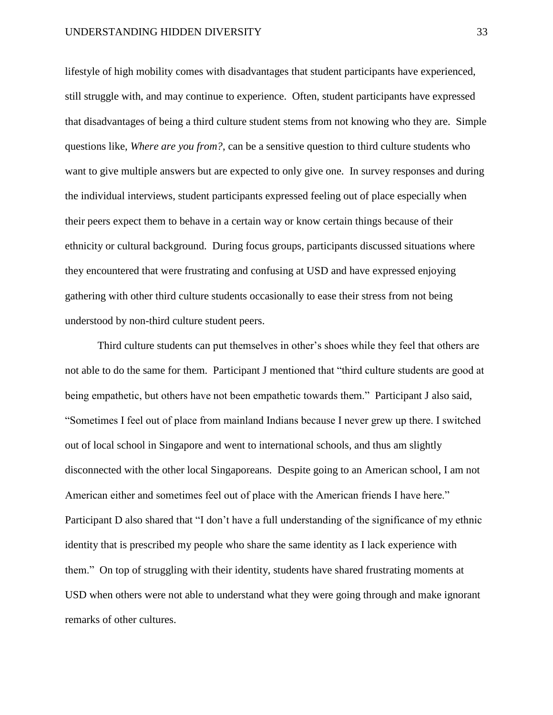lifestyle of high mobility comes with disadvantages that student participants have experienced, still struggle with, and may continue to experience. Often, student participants have expressed that disadvantages of being a third culture student stems from not knowing who they are. Simple questions like, *Where are you from?*, can be a sensitive question to third culture students who want to give multiple answers but are expected to only give one. In survey responses and during the individual interviews, student participants expressed feeling out of place especially when their peers expect them to behave in a certain way or know certain things because of their ethnicity or cultural background. During focus groups, participants discussed situations where they encountered that were frustrating and confusing at USD and have expressed enjoying gathering with other third culture students occasionally to ease their stress from not being understood by non-third culture student peers.

Third culture students can put themselves in other's shoes while they feel that others are not able to do the same for them. Participant J mentioned that "third culture students are good at being empathetic, but others have not been empathetic towards them." Participant J also said, "Sometimes I feel out of place from mainland Indians because I never grew up there. I switched out of local school in Singapore and went to international schools, and thus am slightly disconnected with the other local Singaporeans. Despite going to an American school, I am not American either and sometimes feel out of place with the American friends I have here." Participant D also shared that "I don't have a full understanding of the significance of my ethnic identity that is prescribed my people who share the same identity as I lack experience with them." On top of struggling with their identity, students have shared frustrating moments at USD when others were not able to understand what they were going through and make ignorant remarks of other cultures.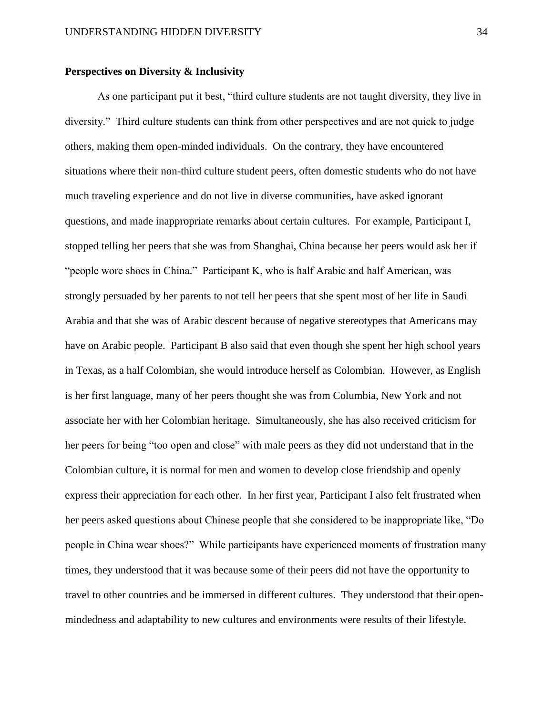## **Perspectives on Diversity & Inclusivity**

As one participant put it best, "third culture students are not taught diversity, they live in diversity." Third culture students can think from other perspectives and are not quick to judge others, making them open-minded individuals. On the contrary, they have encountered situations where their non-third culture student peers, often domestic students who do not have much traveling experience and do not live in diverse communities, have asked ignorant questions, and made inappropriate remarks about certain cultures. For example, Participant I, stopped telling her peers that she was from Shanghai, China because her peers would ask her if "people wore shoes in China." Participant K, who is half Arabic and half American, was strongly persuaded by her parents to not tell her peers that she spent most of her life in Saudi Arabia and that she was of Arabic descent because of negative stereotypes that Americans may have on Arabic people. Participant B also said that even though she spent her high school years in Texas, as a half Colombian, she would introduce herself as Colombian. However, as English is her first language, many of her peers thought she was from Columbia, New York and not associate her with her Colombian heritage. Simultaneously, she has also received criticism for her peers for being "too open and close" with male peers as they did not understand that in the Colombian culture, it is normal for men and women to develop close friendship and openly express their appreciation for each other. In her first year, Participant I also felt frustrated when her peers asked questions about Chinese people that she considered to be inappropriate like, "Do people in China wear shoes?" While participants have experienced moments of frustration many times, they understood that it was because some of their peers did not have the opportunity to travel to other countries and be immersed in different cultures. They understood that their openmindedness and adaptability to new cultures and environments were results of their lifestyle.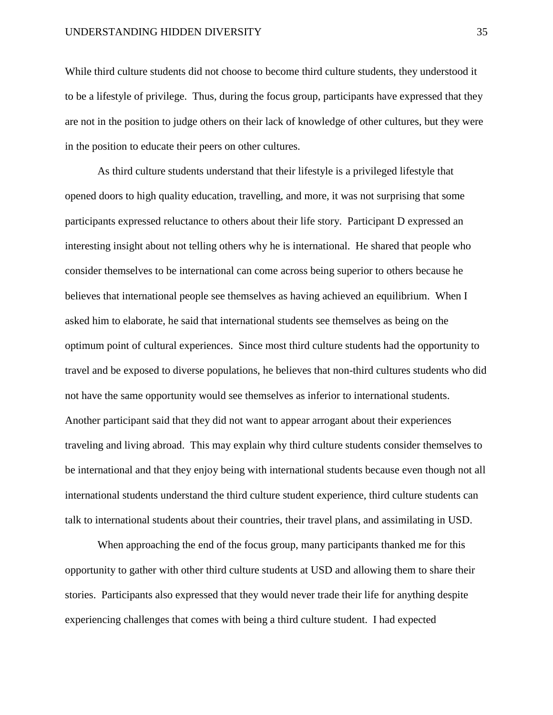While third culture students did not choose to become third culture students, they understood it to be a lifestyle of privilege. Thus, during the focus group, participants have expressed that they are not in the position to judge others on their lack of knowledge of other cultures, but they were in the position to educate their peers on other cultures.

As third culture students understand that their lifestyle is a privileged lifestyle that opened doors to high quality education, travelling, and more, it was not surprising that some participants expressed reluctance to others about their life story. Participant D expressed an interesting insight about not telling others why he is international. He shared that people who consider themselves to be international can come across being superior to others because he believes that international people see themselves as having achieved an equilibrium. When I asked him to elaborate, he said that international students see themselves as being on the optimum point of cultural experiences. Since most third culture students had the opportunity to travel and be exposed to diverse populations, he believes that non-third cultures students who did not have the same opportunity would see themselves as inferior to international students. Another participant said that they did not want to appear arrogant about their experiences traveling and living abroad. This may explain why third culture students consider themselves to be international and that they enjoy being with international students because even though not all international students understand the third culture student experience, third culture students can talk to international students about their countries, their travel plans, and assimilating in USD.

When approaching the end of the focus group, many participants thanked me for this opportunity to gather with other third culture students at USD and allowing them to share their stories. Participants also expressed that they would never trade their life for anything despite experiencing challenges that comes with being a third culture student. I had expected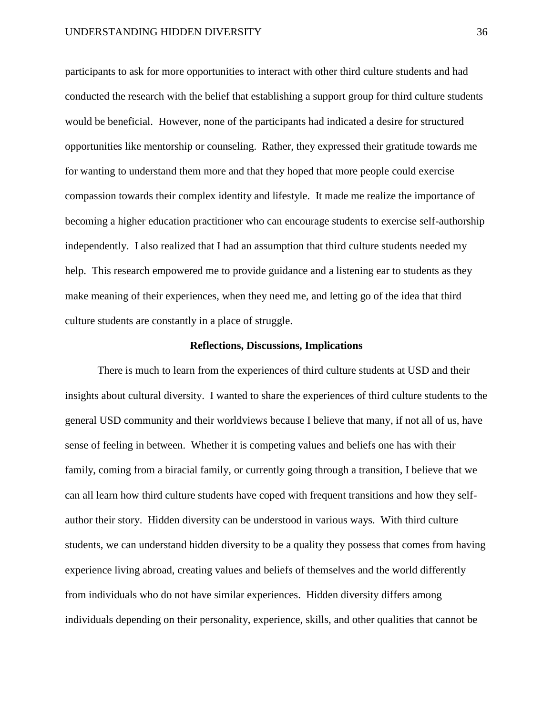participants to ask for more opportunities to interact with other third culture students and had conducted the research with the belief that establishing a support group for third culture students would be beneficial. However, none of the participants had indicated a desire for structured opportunities like mentorship or counseling. Rather, they expressed their gratitude towards me for wanting to understand them more and that they hoped that more people could exercise compassion towards their complex identity and lifestyle. It made me realize the importance of becoming a higher education practitioner who can encourage students to exercise self-authorship independently. I also realized that I had an assumption that third culture students needed my help. This research empowered me to provide guidance and a listening ear to students as they make meaning of their experiences, when they need me, and letting go of the idea that third culture students are constantly in a place of struggle.

### **Reflections, Discussions, Implications**

There is much to learn from the experiences of third culture students at USD and their insights about cultural diversity. I wanted to share the experiences of third culture students to the general USD community and their worldviews because I believe that many, if not all of us, have sense of feeling in between. Whether it is competing values and beliefs one has with their family, coming from a biracial family, or currently going through a transition, I believe that we can all learn how third culture students have coped with frequent transitions and how they selfauthor their story. Hidden diversity can be understood in various ways. With third culture students, we can understand hidden diversity to be a quality they possess that comes from having experience living abroad, creating values and beliefs of themselves and the world differently from individuals who do not have similar experiences. Hidden diversity differs among individuals depending on their personality, experience, skills, and other qualities that cannot be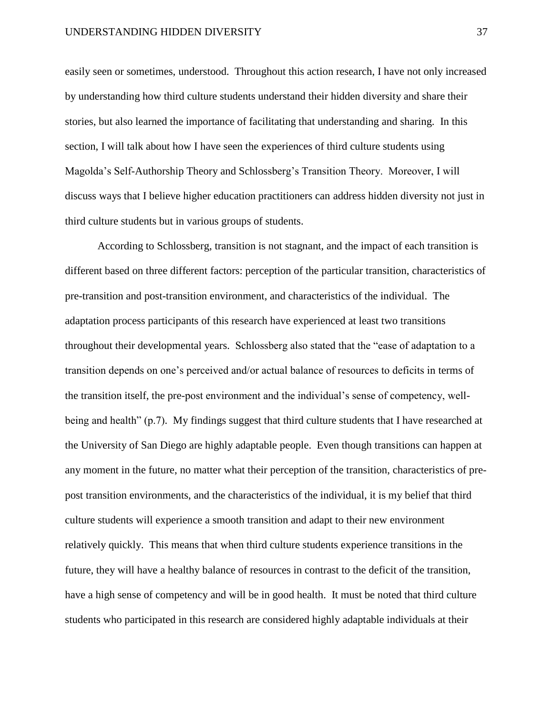easily seen or sometimes, understood. Throughout this action research, I have not only increased by understanding how third culture students understand their hidden diversity and share their stories, but also learned the importance of facilitating that understanding and sharing. In this section, I will talk about how I have seen the experiences of third culture students using Magolda's Self-Authorship Theory and Schlossberg's Transition Theory. Moreover, I will discuss ways that I believe higher education practitioners can address hidden diversity not just in third culture students but in various groups of students.

According to Schlossberg, transition is not stagnant, and the impact of each transition is different based on three different factors: perception of the particular transition, characteristics of pre-transition and post-transition environment, and characteristics of the individual. The adaptation process participants of this research have experienced at least two transitions throughout their developmental years. Schlossberg also stated that the "ease of adaptation to a transition depends on one's perceived and/or actual balance of resources to deficits in terms of the transition itself, the pre-post environment and the individual's sense of competency, wellbeing and health" (p.7). My findings suggest that third culture students that I have researched at the University of San Diego are highly adaptable people. Even though transitions can happen at any moment in the future, no matter what their perception of the transition, characteristics of prepost transition environments, and the characteristics of the individual, it is my belief that third culture students will experience a smooth transition and adapt to their new environment relatively quickly. This means that when third culture students experience transitions in the future, they will have a healthy balance of resources in contrast to the deficit of the transition, have a high sense of competency and will be in good health. It must be noted that third culture students who participated in this research are considered highly adaptable individuals at their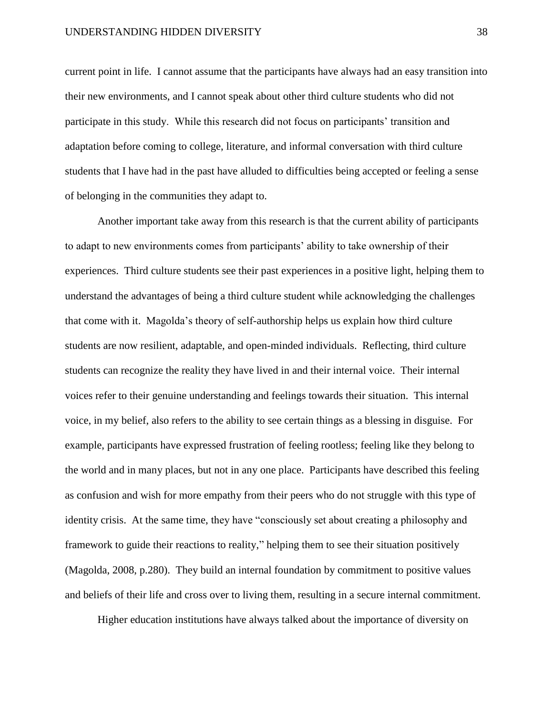current point in life. I cannot assume that the participants have always had an easy transition into their new environments, and I cannot speak about other third culture students who did not participate in this study. While this research did not focus on participants' transition and adaptation before coming to college, literature, and informal conversation with third culture students that I have had in the past have alluded to difficulties being accepted or feeling a sense of belonging in the communities they adapt to.

Another important take away from this research is that the current ability of participants to adapt to new environments comes from participants' ability to take ownership of their experiences. Third culture students see their past experiences in a positive light, helping them to understand the advantages of being a third culture student while acknowledging the challenges that come with it. Magolda's theory of self-authorship helps us explain how third culture students are now resilient, adaptable, and open-minded individuals. Reflecting, third culture students can recognize the reality they have lived in and their internal voice. Their internal voices refer to their genuine understanding and feelings towards their situation. This internal voice, in my belief, also refers to the ability to see certain things as a blessing in disguise. For example, participants have expressed frustration of feeling rootless; feeling like they belong to the world and in many places, but not in any one place. Participants have described this feeling as confusion and wish for more empathy from their peers who do not struggle with this type of identity crisis. At the same time, they have "consciously set about creating a philosophy and framework to guide their reactions to reality," helping them to see their situation positively (Magolda, 2008, p.280). They build an internal foundation by commitment to positive values and beliefs of their life and cross over to living them, resulting in a secure internal commitment.

Higher education institutions have always talked about the importance of diversity on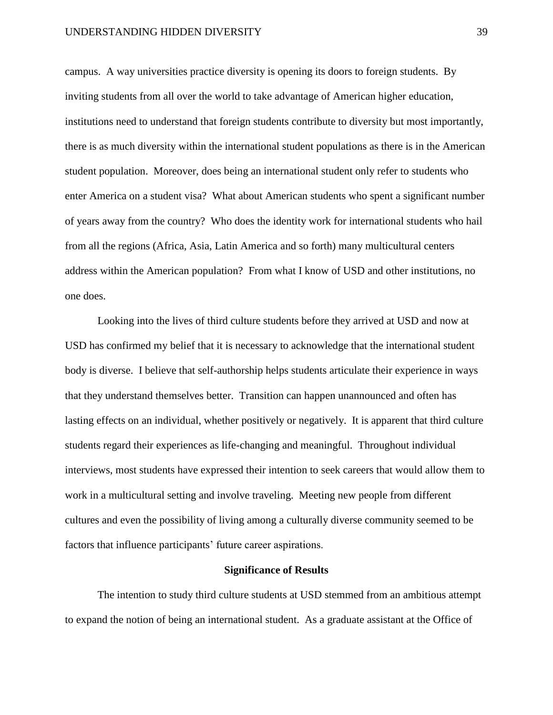### UNDERSTANDING HIDDEN DIVERSITY 39

campus. A way universities practice diversity is opening its doors to foreign students. By inviting students from all over the world to take advantage of American higher education, institutions need to understand that foreign students contribute to diversity but most importantly, there is as much diversity within the international student populations as there is in the American student population. Moreover, does being an international student only refer to students who enter America on a student visa? What about American students who spent a significant number of years away from the country? Who does the identity work for international students who hail from all the regions (Africa, Asia, Latin America and so forth) many multicultural centers address within the American population? From what I know of USD and other institutions, no one does.

Looking into the lives of third culture students before they arrived at USD and now at USD has confirmed my belief that it is necessary to acknowledge that the international student body is diverse. I believe that self-authorship helps students articulate their experience in ways that they understand themselves better. Transition can happen unannounced and often has lasting effects on an individual, whether positively or negatively. It is apparent that third culture students regard their experiences as life-changing and meaningful. Throughout individual interviews, most students have expressed their intention to seek careers that would allow them to work in a multicultural setting and involve traveling. Meeting new people from different cultures and even the possibility of living among a culturally diverse community seemed to be factors that influence participants' future career aspirations.

#### **Significance of Results**

The intention to study third culture students at USD stemmed from an ambitious attempt to expand the notion of being an international student. As a graduate assistant at the Office of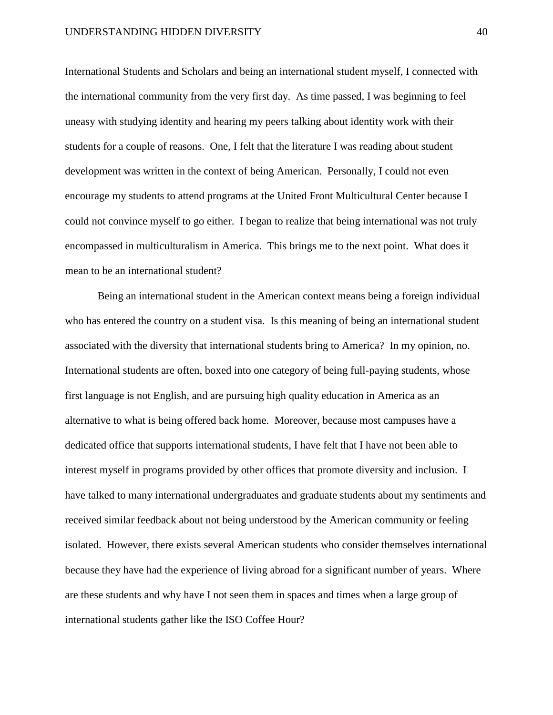International Students and Scholars and being an international student myself, I connected with the international community from the very first day. As time passed, I was beginning to feel uneasy with studying identity and hearing my peers talking about identity work with their students for a couple of reasons. One, I felt that the literature I was reading about student development was written in the context of being American. Personally, I could not even encourage my students to attend programs at the United Front Multicultural Center because I could not convince myself to go either. I began to realize that being international was not truly encompassed in multiculturalism in America. This brings me to the next point. What does it mean to be an international student?

Being an international student in the American context means being a foreign individual who has entered the country on a student visa. Is this meaning of being an international student associated with the diversity that international students bring to America? In my opinion, no. International students are often, boxed into one category of being full-paying students, whose first language is not English, and are pursuing high quality education in America as an alternative to what is being offered back home. Moreover, because most campuses have a dedicated office that supports international students, I have felt that I have not been able to interest myself in programs provided by other offices that promote diversity and inclusion. I have talked to many international undergraduates and graduate students about my sentiments and received similar feedback about not being understood by the American community or feeling isolated. However, there exists several American students who consider themselves international because they have had the experience of living abroad for a significant number of years. Where are these students and why have I not seen them in spaces and times when a large group of international students gather like the ISO Coffee Hour?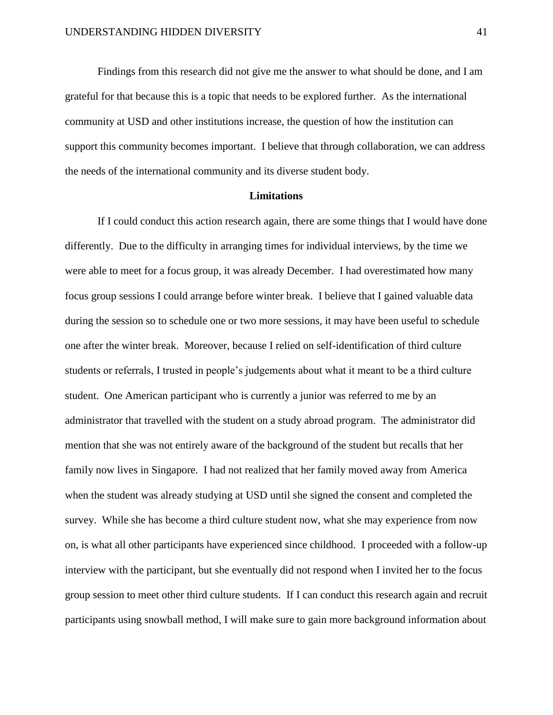Findings from this research did not give me the answer to what should be done, and I am grateful for that because this is a topic that needs to be explored further. As the international community at USD and other institutions increase, the question of how the institution can support this community becomes important. I believe that through collaboration, we can address the needs of the international community and its diverse student body.

#### **Limitations**

If I could conduct this action research again, there are some things that I would have done differently. Due to the difficulty in arranging times for individual interviews, by the time we were able to meet for a focus group, it was already December. I had overestimated how many focus group sessions I could arrange before winter break. I believe that I gained valuable data during the session so to schedule one or two more sessions, it may have been useful to schedule one after the winter break. Moreover, because I relied on self-identification of third culture students or referrals, I trusted in people's judgements about what it meant to be a third culture student. One American participant who is currently a junior was referred to me by an administrator that travelled with the student on a study abroad program. The administrator did mention that she was not entirely aware of the background of the student but recalls that her family now lives in Singapore. I had not realized that her family moved away from America when the student was already studying at USD until she signed the consent and completed the survey. While she has become a third culture student now, what she may experience from now on, is what all other participants have experienced since childhood. I proceeded with a follow-up interview with the participant, but she eventually did not respond when I invited her to the focus group session to meet other third culture students. If I can conduct this research again and recruit participants using snowball method, I will make sure to gain more background information about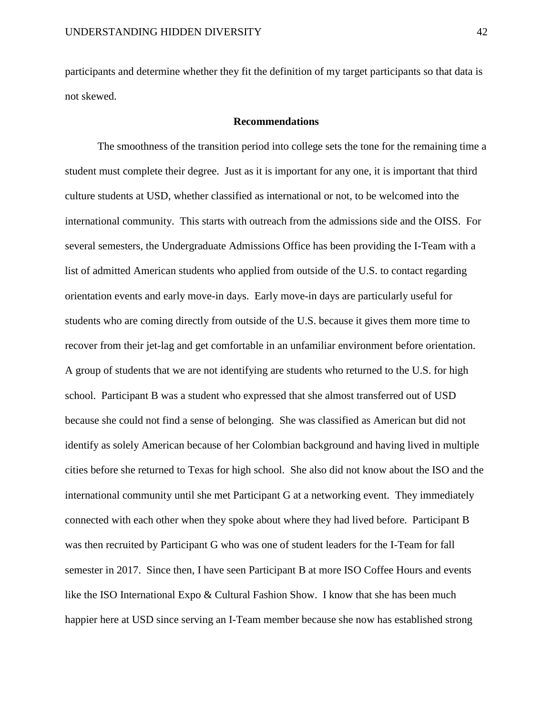participants and determine whether they fit the definition of my target participants so that data is not skewed.

#### **Recommendations**

The smoothness of the transition period into college sets the tone for the remaining time a student must complete their degree. Just as it is important for any one, it is important that third culture students at USD, whether classified as international or not, to be welcomed into the international community. This starts with outreach from the admissions side and the OISS. For several semesters, the Undergraduate Admissions Office has been providing the I-Team with a list of admitted American students who applied from outside of the U.S. to contact regarding orientation events and early move-in days. Early move-in days are particularly useful for students who are coming directly from outside of the U.S. because it gives them more time to recover from their jet-lag and get comfortable in an unfamiliar environment before orientation. A group of students that we are not identifying are students who returned to the U.S. for high school. Participant B was a student who expressed that she almost transferred out of USD because she could not find a sense of belonging. She was classified as American but did not identify as solely American because of her Colombian background and having lived in multiple cities before she returned to Texas for high school. She also did not know about the ISO and the international community until she met Participant G at a networking event. They immediately connected with each other when they spoke about where they had lived before. Participant B was then recruited by Participant G who was one of student leaders for the I-Team for fall semester in 2017. Since then, I have seen Participant B at more ISO Coffee Hours and events like the ISO International Expo & Cultural Fashion Show. I know that she has been much happier here at USD since serving an I-Team member because she now has established strong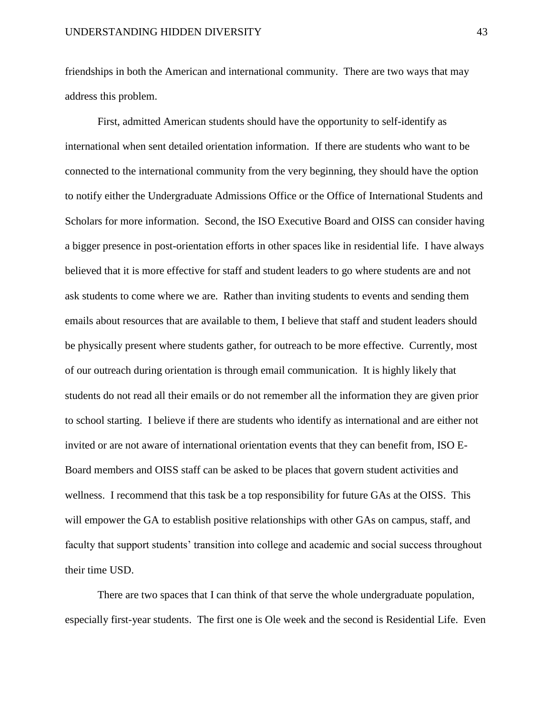friendships in both the American and international community. There are two ways that may address this problem.

First, admitted American students should have the opportunity to self-identify as international when sent detailed orientation information. If there are students who want to be connected to the international community from the very beginning, they should have the option to notify either the Undergraduate Admissions Office or the Office of International Students and Scholars for more information. Second, the ISO Executive Board and OISS can consider having a bigger presence in post-orientation efforts in other spaces like in residential life. I have always believed that it is more effective for staff and student leaders to go where students are and not ask students to come where we are. Rather than inviting students to events and sending them emails about resources that are available to them, I believe that staff and student leaders should be physically present where students gather, for outreach to be more effective. Currently, most of our outreach during orientation is through email communication. It is highly likely that students do not read all their emails or do not remember all the information they are given prior to school starting. I believe if there are students who identify as international and are either not invited or are not aware of international orientation events that they can benefit from, ISO E-Board members and OISS staff can be asked to be places that govern student activities and wellness. I recommend that this task be a top responsibility for future GAs at the OISS. This will empower the GA to establish positive relationships with other GAs on campus, staff, and faculty that support students' transition into college and academic and social success throughout their time USD.

There are two spaces that I can think of that serve the whole undergraduate population, especially first-year students. The first one is Ole week and the second is Residential Life. Even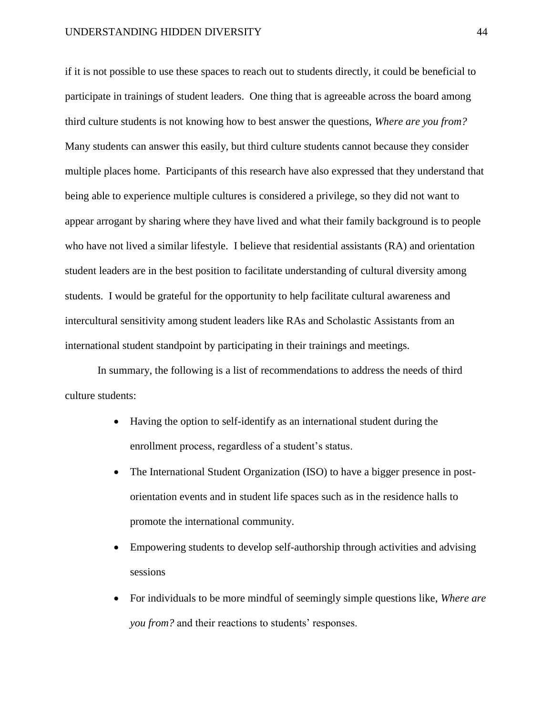if it is not possible to use these spaces to reach out to students directly, it could be beneficial to participate in trainings of student leaders. One thing that is agreeable across the board among third culture students is not knowing how to best answer the questions, *Where are you from?* Many students can answer this easily, but third culture students cannot because they consider multiple places home. Participants of this research have also expressed that they understand that being able to experience multiple cultures is considered a privilege, so they did not want to appear arrogant by sharing where they have lived and what their family background is to people who have not lived a similar lifestyle. I believe that residential assistants (RA) and orientation student leaders are in the best position to facilitate understanding of cultural diversity among students. I would be grateful for the opportunity to help facilitate cultural awareness and intercultural sensitivity among student leaders like RAs and Scholastic Assistants from an international student standpoint by participating in their trainings and meetings.

In summary, the following is a list of recommendations to address the needs of third culture students:

- Having the option to self-identify as an international student during the enrollment process, regardless of a student's status.
- The International Student Organization (ISO) to have a bigger presence in postorientation events and in student life spaces such as in the residence halls to promote the international community.
- Empowering students to develop self-authorship through activities and advising sessions
- For individuals to be more mindful of seemingly simple questions like, *Where are you from?* and their reactions to students' responses.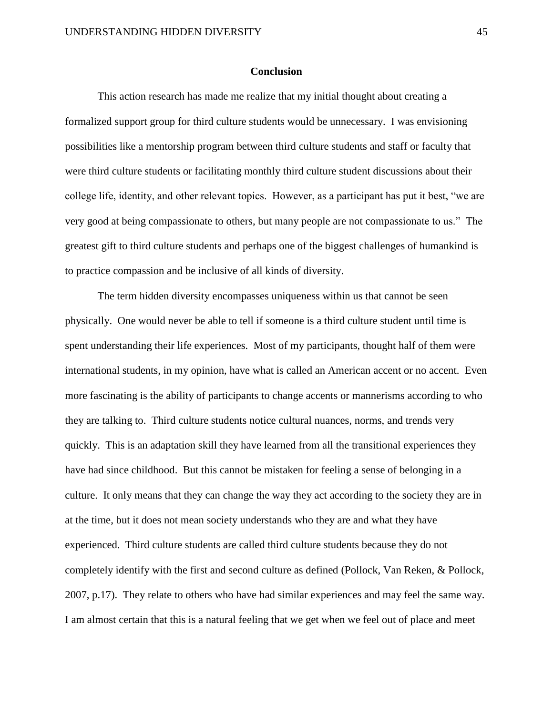### **Conclusion**

This action research has made me realize that my initial thought about creating a formalized support group for third culture students would be unnecessary. I was envisioning possibilities like a mentorship program between third culture students and staff or faculty that were third culture students or facilitating monthly third culture student discussions about their college life, identity, and other relevant topics. However, as a participant has put it best, "we are very good at being compassionate to others, but many people are not compassionate to us." The greatest gift to third culture students and perhaps one of the biggest challenges of humankind is to practice compassion and be inclusive of all kinds of diversity.

The term hidden diversity encompasses uniqueness within us that cannot be seen physically. One would never be able to tell if someone is a third culture student until time is spent understanding their life experiences. Most of my participants, thought half of them were international students, in my opinion, have what is called an American accent or no accent. Even more fascinating is the ability of participants to change accents or mannerisms according to who they are talking to. Third culture students notice cultural nuances, norms, and trends very quickly. This is an adaptation skill they have learned from all the transitional experiences they have had since childhood. But this cannot be mistaken for feeling a sense of belonging in a culture. It only means that they can change the way they act according to the society they are in at the time, but it does not mean society understands who they are and what they have experienced. Third culture students are called third culture students because they do not completely identify with the first and second culture as defined (Pollock, Van Reken, & Pollock, 2007, p.17). They relate to others who have had similar experiences and may feel the same way. I am almost certain that this is a natural feeling that we get when we feel out of place and meet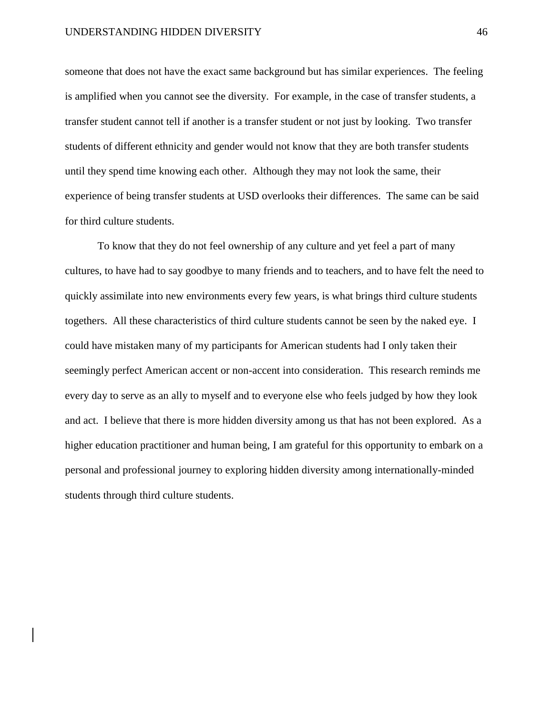someone that does not have the exact same background but has similar experiences. The feeling is amplified when you cannot see the diversity. For example, in the case of transfer students, a transfer student cannot tell if another is a transfer student or not just by looking. Two transfer students of different ethnicity and gender would not know that they are both transfer students until they spend time knowing each other. Although they may not look the same, their experience of being transfer students at USD overlooks their differences. The same can be said for third culture students.

To know that they do not feel ownership of any culture and yet feel a part of many cultures, to have had to say goodbye to many friends and to teachers, and to have felt the need to quickly assimilate into new environments every few years, is what brings third culture students togethers. All these characteristics of third culture students cannot be seen by the naked eye. I could have mistaken many of my participants for American students had I only taken their seemingly perfect American accent or non-accent into consideration. This research reminds me every day to serve as an ally to myself and to everyone else who feels judged by how they look and act. I believe that there is more hidden diversity among us that has not been explored. As a higher education practitioner and human being, I am grateful for this opportunity to embark on a personal and professional journey to exploring hidden diversity among internationally-minded students through third culture students.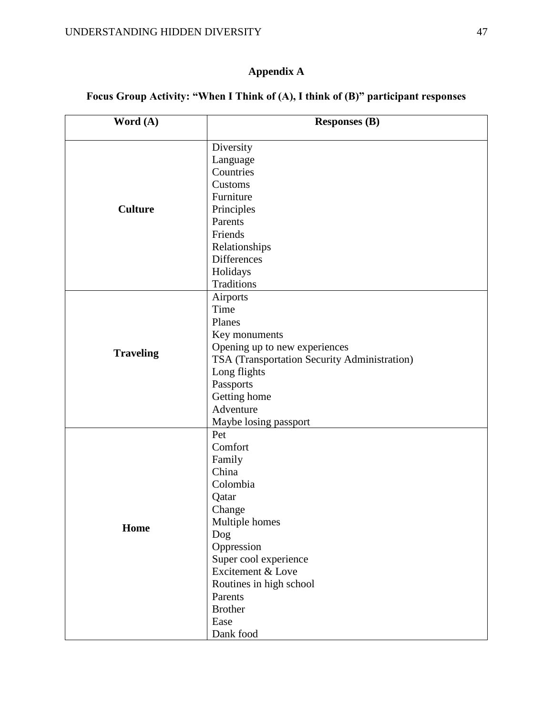# **Focus Group Activity: "When I Think of (A), I think of (B)" participant responses**

| Word (A)         | <b>Responses (B)</b>                         |  |  |
|------------------|----------------------------------------------|--|--|
|                  |                                              |  |  |
|                  | Diversity                                    |  |  |
|                  | Language                                     |  |  |
|                  | Countries                                    |  |  |
|                  | Customs                                      |  |  |
|                  | Furniture                                    |  |  |
| <b>Culture</b>   | Principles                                   |  |  |
|                  | Parents                                      |  |  |
|                  | Friends                                      |  |  |
|                  | Relationships                                |  |  |
|                  | <b>Differences</b>                           |  |  |
|                  | Holidays                                     |  |  |
|                  | Traditions                                   |  |  |
|                  | Airports                                     |  |  |
|                  | Time                                         |  |  |
|                  | Planes                                       |  |  |
|                  | Key monuments                                |  |  |
|                  | Opening up to new experiences                |  |  |
| <b>Traveling</b> | TSA (Transportation Security Administration) |  |  |
|                  | Long flights                                 |  |  |
|                  | Passports                                    |  |  |
|                  | Getting home                                 |  |  |
|                  | Adventure                                    |  |  |
|                  | Maybe losing passport                        |  |  |
|                  | Pet                                          |  |  |
|                  | Comfort                                      |  |  |
|                  | Family                                       |  |  |
|                  | China                                        |  |  |
|                  | Colombia                                     |  |  |
|                  | Qatar                                        |  |  |
|                  | Change                                       |  |  |
|                  | Multiple homes                               |  |  |
| Home             | Dog                                          |  |  |
|                  | Oppression                                   |  |  |
|                  | Super cool experience                        |  |  |
|                  | Excitement & Love                            |  |  |
|                  | Routines in high school                      |  |  |
|                  | Parents                                      |  |  |
|                  |                                              |  |  |
|                  | <b>Brother</b>                               |  |  |
|                  | Ease                                         |  |  |
|                  | Dank food                                    |  |  |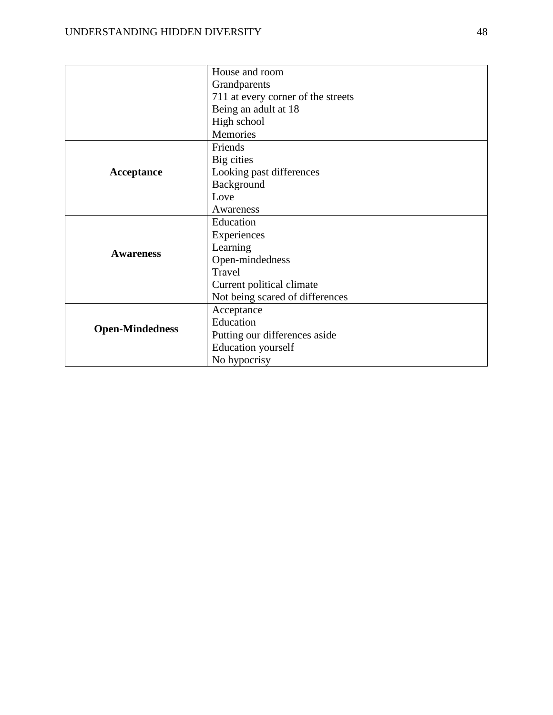|                        | House and room                     |
|------------------------|------------------------------------|
|                        | Grandparents                       |
|                        | 711 at every corner of the streets |
|                        | Being an adult at 18               |
|                        | High school                        |
|                        | Memories                           |
|                        | Friends                            |
|                        | Big cities                         |
| Acceptance             | Looking past differences           |
|                        | Background                         |
|                        | Love                               |
|                        | Awareness                          |
|                        | Education                          |
|                        | Experiences                        |
| <b>Awareness</b>       | Learning                           |
|                        | Open-mindedness                    |
|                        | Travel                             |
|                        | Current political climate          |
|                        | Not being scared of differences    |
|                        | Acceptance                         |
| <b>Open-Mindedness</b> | Education                          |
|                        | Putting our differences aside      |
|                        | <b>Education</b> yourself          |
|                        | No hypocrisy                       |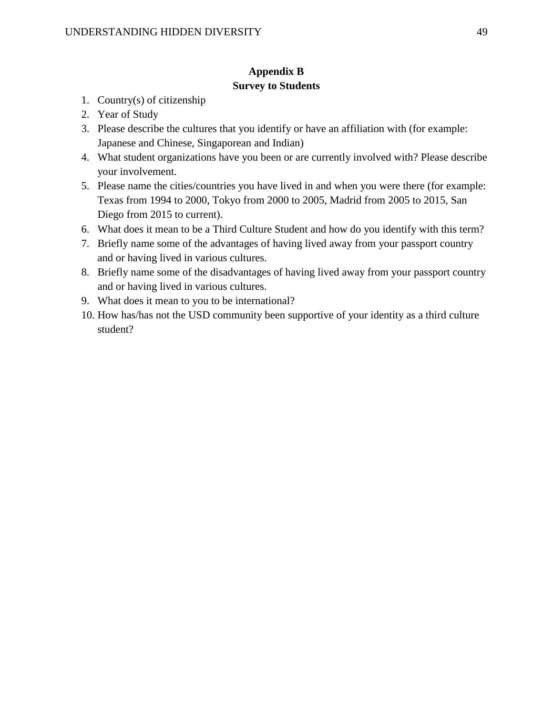# **Appendix B Survey to Students**

- 1. Country(s) of citizenship
- 2. Year of Study
- 3. Please describe the cultures that you identify or have an affiliation with (for example: Japanese and Chinese, Singaporean and Indian)
- 4. What student organizations have you been or are currently involved with? Please describe your involvement.
- 5. Please name the cities/countries you have lived in and when you were there (for example: Texas from 1994 to 2000, Tokyo from 2000 to 2005, Madrid from 2005 to 2015, San Diego from 2015 to current).
- 6. What does it mean to be a Third Culture Student and how do you identify with this term?
- 7. Briefly name some of the advantages of having lived away from your passport country and or having lived in various cultures.
- 8. Briefly name some of the disadvantages of having lived away from your passport country and or having lived in various cultures.
- 9. What does it mean to you to be international?
- 10. How has/has not the USD community been supportive of your identity as a third culture student?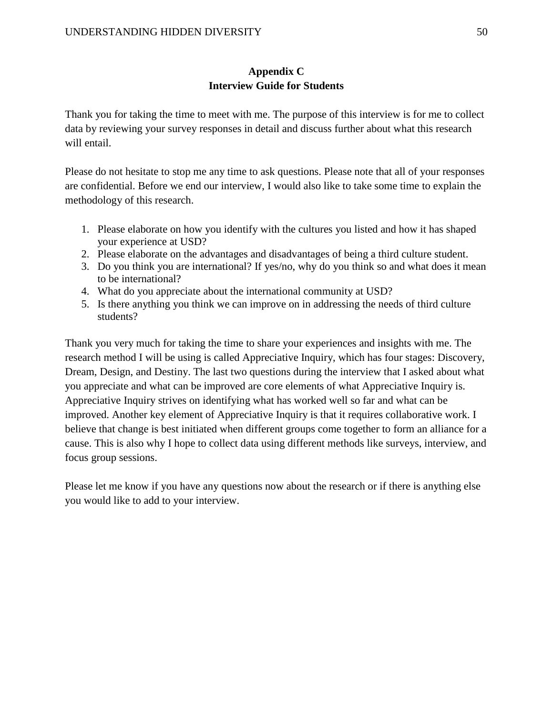# **Appendix C Interview Guide for Students**

Thank you for taking the time to meet with me. The purpose of this interview is for me to collect data by reviewing your survey responses in detail and discuss further about what this research will entail.

Please do not hesitate to stop me any time to ask questions. Please note that all of your responses are confidential. Before we end our interview, I would also like to take some time to explain the methodology of this research.

- 1. Please elaborate on how you identify with the cultures you listed and how it has shaped your experience at USD?
- 2. Please elaborate on the advantages and disadvantages of being a third culture student.
- 3. Do you think you are international? If yes/no, why do you think so and what does it mean to be international?
- 4. What do you appreciate about the international community at USD?
- 5. Is there anything you think we can improve on in addressing the needs of third culture students?

Thank you very much for taking the time to share your experiences and insights with me. The research method I will be using is called Appreciative Inquiry, which has four stages: Discovery, Dream, Design, and Destiny. The last two questions during the interview that I asked about what you appreciate and what can be improved are core elements of what Appreciative Inquiry is. Appreciative Inquiry strives on identifying what has worked well so far and what can be improved. Another key element of Appreciative Inquiry is that it requires collaborative work. I believe that change is best initiated when different groups come together to form an alliance for a cause. This is also why I hope to collect data using different methods like surveys, interview, and focus group sessions.

Please let me know if you have any questions now about the research or if there is anything else you would like to add to your interview.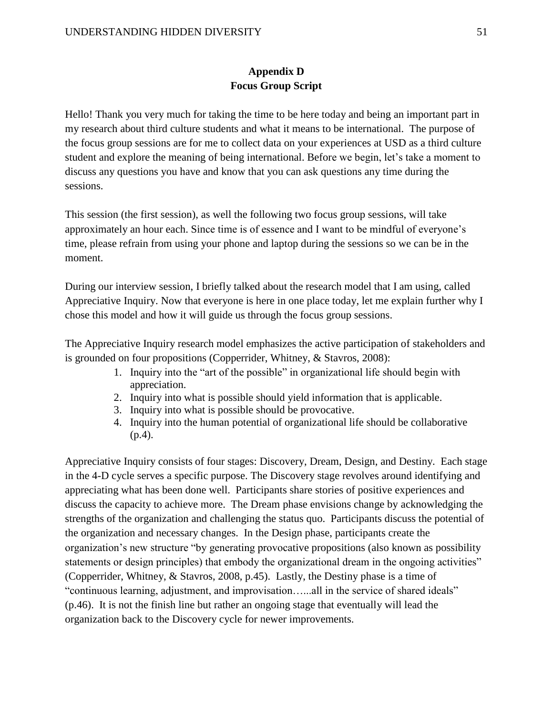# **Appendix D Focus Group Script**

Hello! Thank you very much for taking the time to be here today and being an important part in my research about third culture students and what it means to be international. The purpose of the focus group sessions are for me to collect data on your experiences at USD as a third culture student and explore the meaning of being international. Before we begin, let's take a moment to discuss any questions you have and know that you can ask questions any time during the sessions.

This session (the first session), as well the following two focus group sessions, will take approximately an hour each. Since time is of essence and I want to be mindful of everyone's time, please refrain from using your phone and laptop during the sessions so we can be in the moment.

During our interview session, I briefly talked about the research model that I am using, called Appreciative Inquiry. Now that everyone is here in one place today, let me explain further why I chose this model and how it will guide us through the focus group sessions.

The Appreciative Inquiry research model emphasizes the active participation of stakeholders and is grounded on four propositions (Copperrider, Whitney, & Stavros, 2008):

- 1. Inquiry into the "art of the possible" in organizational life should begin with appreciation.
- 2. Inquiry into what is possible should yield information that is applicable.
- 3. Inquiry into what is possible should be provocative.
- 4. Inquiry into the human potential of organizational life should be collaborative (p.4).

Appreciative Inquiry consists of four stages: Discovery, Dream, Design, and Destiny. Each stage in the 4-D cycle serves a specific purpose. The Discovery stage revolves around identifying and appreciating what has been done well. Participants share stories of positive experiences and discuss the capacity to achieve more. The Dream phase envisions change by acknowledging the strengths of the organization and challenging the status quo. Participants discuss the potential of the organization and necessary changes. In the Design phase, participants create the organization's new structure "by generating provocative propositions (also known as possibility statements or design principles) that embody the organizational dream in the ongoing activities" (Copperrider, Whitney, & Stavros, 2008, p.45). Lastly, the Destiny phase is a time of "continuous learning, adjustment, and improvisation…...all in the service of shared ideals" (p.46). It is not the finish line but rather an ongoing stage that eventually will lead the organization back to the Discovery cycle for newer improvements.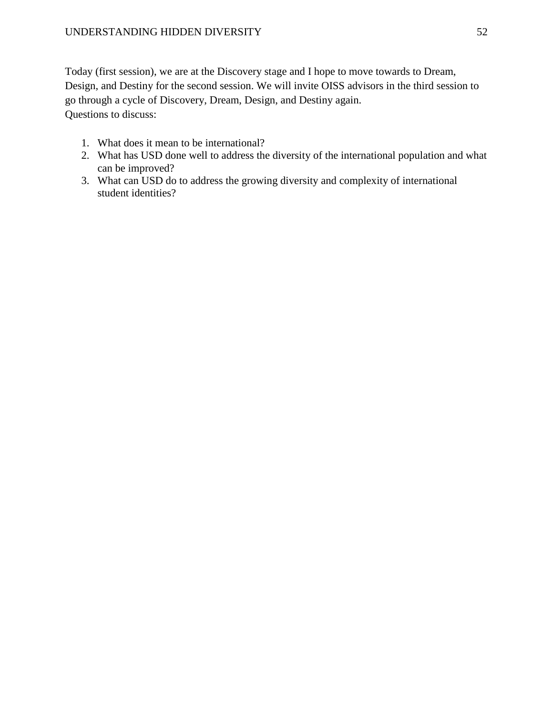Today (first session), we are at the Discovery stage and I hope to move towards to Dream, Design, and Destiny for the second session. We will invite OISS advisors in the third session to go through a cycle of Discovery, Dream, Design, and Destiny again. Questions to discuss:

- 1. What does it mean to be international?
- 2. What has USD done well to address the diversity of the international population and what can be improved?
- 3. What can USD do to address the growing diversity and complexity of international student identities?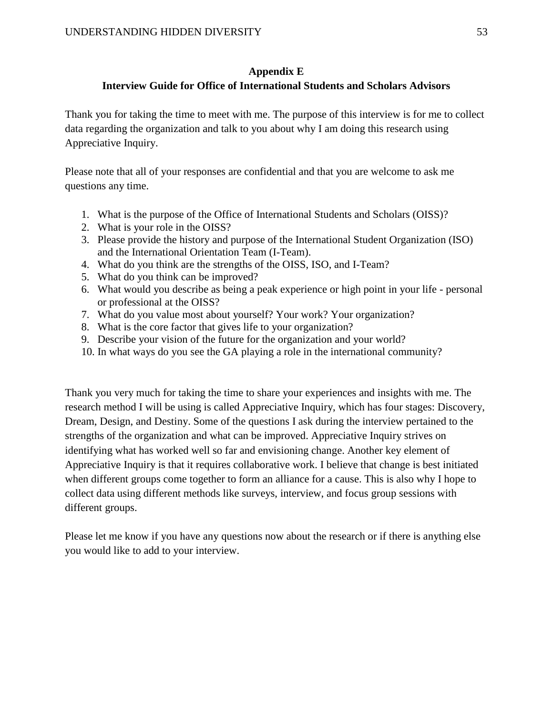# **Appendix E**

# **Interview Guide for Office of International Students and Scholars Advisors**

Thank you for taking the time to meet with me. The purpose of this interview is for me to collect data regarding the organization and talk to you about why I am doing this research using Appreciative Inquiry.

Please note that all of your responses are confidential and that you are welcome to ask me questions any time.

- 1. What is the purpose of the Office of International Students and Scholars (OISS)?
- 2. What is your role in the OISS?
- 3. Please provide the history and purpose of the International Student Organization (ISO) and the International Orientation Team (I-Team).
- 4. What do you think are the strengths of the OISS, ISO, and I-Team?
- 5. What do you think can be improved?
- 6. What would you describe as being a peak experience or high point in your life personal or professional at the OISS?
- 7. What do you value most about yourself? Your work? Your organization?
- 8. What is the core factor that gives life to your organization?
- 9. Describe your vision of the future for the organization and your world?
- 10. In what ways do you see the GA playing a role in the international community?

Thank you very much for taking the time to share your experiences and insights with me. The research method I will be using is called Appreciative Inquiry, which has four stages: Discovery, Dream, Design, and Destiny. Some of the questions I ask during the interview pertained to the strengths of the organization and what can be improved. Appreciative Inquiry strives on identifying what has worked well so far and envisioning change. Another key element of Appreciative Inquiry is that it requires collaborative work. I believe that change is best initiated when different groups come together to form an alliance for a cause. This is also why I hope to collect data using different methods like surveys, interview, and focus group sessions with different groups.

Please let me know if you have any questions now about the research or if there is anything else you would like to add to your interview.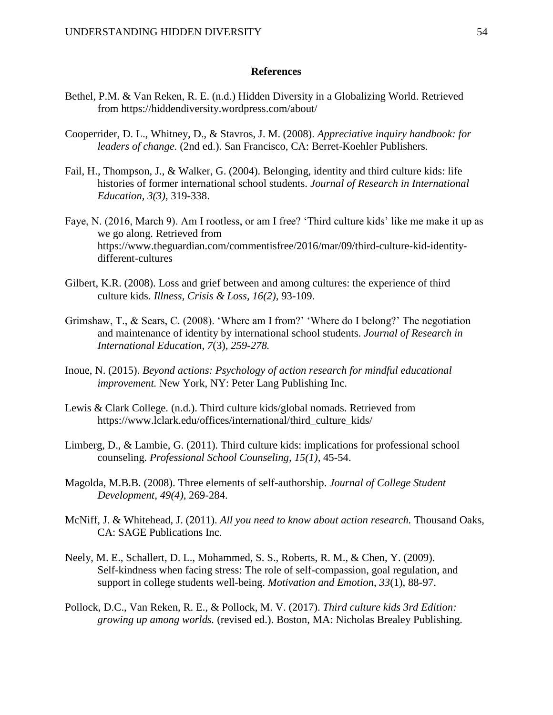### **References**

- Bethel, P.M. & Van Reken, R. E. (n.d.) Hidden Diversity in a Globalizing World. Retrieved from https://hiddendiversity.wordpress.com/about/
- Cooperrider, D. L., Whitney, D., & Stavros, J. M. (2008). *Appreciative inquiry handbook: for leaders of change.* (2nd ed.). San Francisco, CA: Berret-Koehler Publishers.
- Fail, H., Thompson, J., & Walker, G. (2004). Belonging, identity and third culture kids: life histories of former international school students. *Journal of Research in International Education, 3(3),* 319-338.
- Faye, N. (2016, March 9). Am I rootless, or am I free? 'Third culture kids' like me make it up as we go along. Retrieved from https://www.theguardian.com/commentisfree/2016/mar/09/third-culture-kid-identitydifferent-cultures
- Gilbert, K.R. (2008). Loss and grief between and among cultures: the experience of third culture kids. *Illness, Crisis & Loss, 16(2)*, 93-109.
- Grimshaw, T., & Sears, C. (2008). 'Where am I from?' 'Where do I belong?' The negotiation and maintenance of identity by international school students. *Journal of Research in International Education, 7*(3)*, 259-278.*
- Inoue, N. (2015). *Beyond actions: Psychology of action research for mindful educational improvement.* New York, NY: Peter Lang Publishing Inc.
- Lewis & Clark College. (n.d.). Third culture kids/global nomads. Retrieved from https://www.lclark.edu/offices/international/third\_culture\_kids/
- Limberg, D., & Lambie, G. (2011). Third culture kids: implications for professional school counseling. *Professional School Counseling, 15(1),* 45-54.
- Magolda, M.B.B. (2008). Three elements of self-authorship. *Journal of College Student Development, 49(4),* 269-284.
- McNiff, J. & Whitehead, J. (2011). *All you need to know about action research.* Thousand Oaks, CA: SAGE Publications Inc.
- Neely, M. E., Schallert, D. L., Mohammed, S. S., Roberts, R. M., & Chen, Y. (2009). Self-kindness when facing stress: The role of self-compassion, goal regulation, and support in college students well-being. *Motivation and Emotion, 33*(1), 88-97.
- Pollock, D.C., Van Reken, R. E., & Pollock, M. V. (2017). *Third culture kids 3rd Edition: growing up among worlds.* (revised ed.). Boston, MA: Nicholas Brealey Publishing.